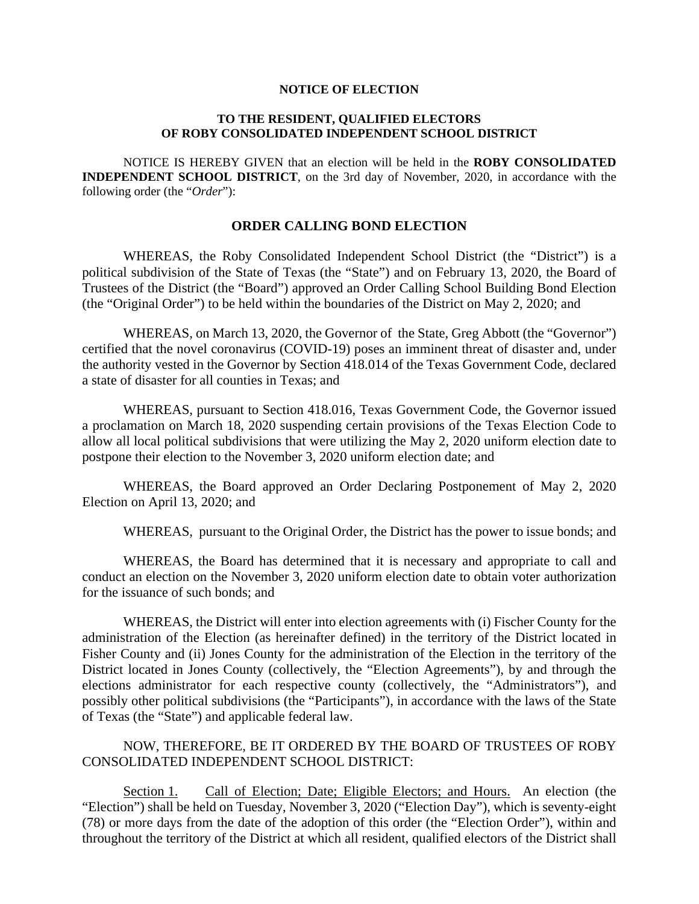#### **NOTICE OF ELECTION**

#### **TO THE RESIDENT, QUALIFIED ELECTORS OF ROBY CONSOLIDATED INDEPENDENT SCHOOL DISTRICT**

 NOTICE IS HEREBY GIVEN that an election will be held in the **ROBY CONSOLIDATED INDEPENDENT SCHOOL DISTRICT**, on the 3rd day of November, 2020, in accordance with the following order (the "*Order*"):

#### **ORDER CALLING BOND ELECTION**

WHEREAS, the Roby Consolidated Independent School District (the "District") is a political subdivision of the State of Texas (the "State") and on February 13, 2020, the Board of Trustees of the District (the "Board") approved an Order Calling School Building Bond Election (the "Original Order") to be held within the boundaries of the District on May 2, 2020; and

WHEREAS, on March 13, 2020, the Governor of the State, Greg Abbott (the "Governor") certified that the novel coronavirus (COVID-19) poses an imminent threat of disaster and, under the authority vested in the Governor by Section 418.014 of the Texas Government Code, declared a state of disaster for all counties in Texas; and

WHEREAS, pursuant to Section 418.016, Texas Government Code, the Governor issued a proclamation on March 18, 2020 suspending certain provisions of the Texas Election Code to allow all local political subdivisions that were utilizing the May 2, 2020 uniform election date to postpone their election to the November 3, 2020 uniform election date; and

WHEREAS, the Board approved an Order Declaring Postponement of May 2, 2020 Election on April 13, 2020; and

WHEREAS, pursuant to the Original Order, the District has the power to issue bonds; and

WHEREAS, the Board has determined that it is necessary and appropriate to call and conduct an election on the November 3, 2020 uniform election date to obtain voter authorization for the issuance of such bonds; and

WHEREAS, the District will enter into election agreements with (i) Fischer County for the administration of the Election (as hereinafter defined) in the territory of the District located in Fisher County and (ii) Jones County for the administration of the Election in the territory of the District located in Jones County (collectively, the "Election Agreements"), by and through the elections administrator for each respective county (collectively, the "Administrators"), and possibly other political subdivisions (the "Participants"), in accordance with the laws of the State of Texas (the "State") and applicable federal law.

#### NOW, THEREFORE, BE IT ORDERED BY THE BOARD OF TRUSTEES OF ROBY CONSOLIDATED INDEPENDENT SCHOOL DISTRICT:

Section 1. Call of Election; Date; Eligible Electors; and Hours. An election (the "Election") shall be held on Tuesday, November 3, 2020 ("Election Day"), which is seventy-eight (78) or more days from the date of the adoption of this order (the "Election Order"), within and throughout the territory of the District at which all resident, qualified electors of the District shall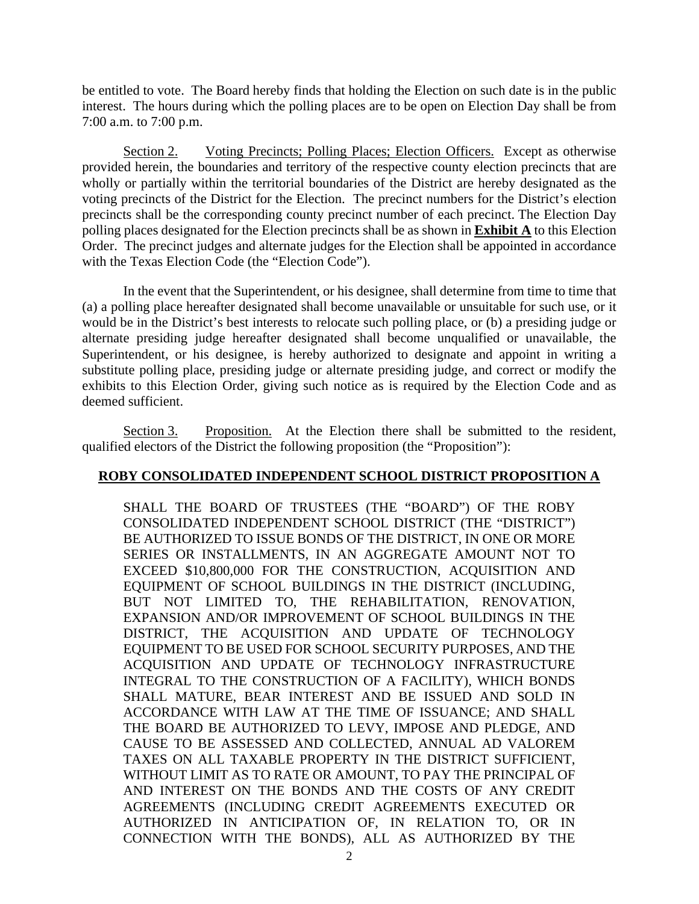be entitled to vote. The Board hereby finds that holding the Election on such date is in the public interest. The hours during which the polling places are to be open on Election Day shall be from 7:00 a.m. to 7:00 p.m.

Section 2. Voting Precincts; Polling Places; Election Officers. Except as otherwise provided herein, the boundaries and territory of the respective county election precincts that are wholly or partially within the territorial boundaries of the District are hereby designated as the voting precincts of the District for the Election. The precinct numbers for the District's election precincts shall be the corresponding county precinct number of each precinct. The Election Day polling places designated for the Election precincts shall be as shown in **Exhibit A** to this Election Order. The precinct judges and alternate judges for the Election shall be appointed in accordance with the Texas Election Code (the "Election Code").

In the event that the Superintendent, or his designee, shall determine from time to time that (a) a polling place hereafter designated shall become unavailable or unsuitable for such use, or it would be in the District's best interests to relocate such polling place, or (b) a presiding judge or alternate presiding judge hereafter designated shall become unqualified or unavailable, the Superintendent, or his designee, is hereby authorized to designate and appoint in writing a substitute polling place, presiding judge or alternate presiding judge, and correct or modify the exhibits to this Election Order, giving such notice as is required by the Election Code and as deemed sufficient.

Section 3. Proposition. At the Election there shall be submitted to the resident, qualified electors of the District the following proposition (the "Proposition"):

### **ROBY CONSOLIDATED INDEPENDENT SCHOOL DISTRICT PROPOSITION A**

SHALL THE BOARD OF TRUSTEES (THE "BOARD") OF THE ROBY CONSOLIDATED INDEPENDENT SCHOOL DISTRICT (THE "DISTRICT") BE AUTHORIZED TO ISSUE BONDS OF THE DISTRICT, IN ONE OR MORE SERIES OR INSTALLMENTS, IN AN AGGREGATE AMOUNT NOT TO EXCEED \$10,800,000 FOR THE CONSTRUCTION, ACQUISITION AND EQUIPMENT OF SCHOOL BUILDINGS IN THE DISTRICT (INCLUDING, BUT NOT LIMITED TO, THE REHABILITATION, RENOVATION, EXPANSION AND/OR IMPROVEMENT OF SCHOOL BUILDINGS IN THE DISTRICT, THE ACQUISITION AND UPDATE OF TECHNOLOGY EQUIPMENT TO BE USED FOR SCHOOL SECURITY PURPOSES, AND THE ACQUISITION AND UPDATE OF TECHNOLOGY INFRASTRUCTURE INTEGRAL TO THE CONSTRUCTION OF A FACILITY), WHICH BONDS SHALL MATURE, BEAR INTEREST AND BE ISSUED AND SOLD IN ACCORDANCE WITH LAW AT THE TIME OF ISSUANCE; AND SHALL THE BOARD BE AUTHORIZED TO LEVY, IMPOSE AND PLEDGE, AND CAUSE TO BE ASSESSED AND COLLECTED, ANNUAL AD VALOREM TAXES ON ALL TAXABLE PROPERTY IN THE DISTRICT SUFFICIENT, WITHOUT LIMIT AS TO RATE OR AMOUNT, TO PAY THE PRINCIPAL OF AND INTEREST ON THE BONDS AND THE COSTS OF ANY CREDIT AGREEMENTS (INCLUDING CREDIT AGREEMENTS EXECUTED OR AUTHORIZED IN ANTICIPATION OF, IN RELATION TO, OR IN CONNECTION WITH THE BONDS), ALL AS AUTHORIZED BY THE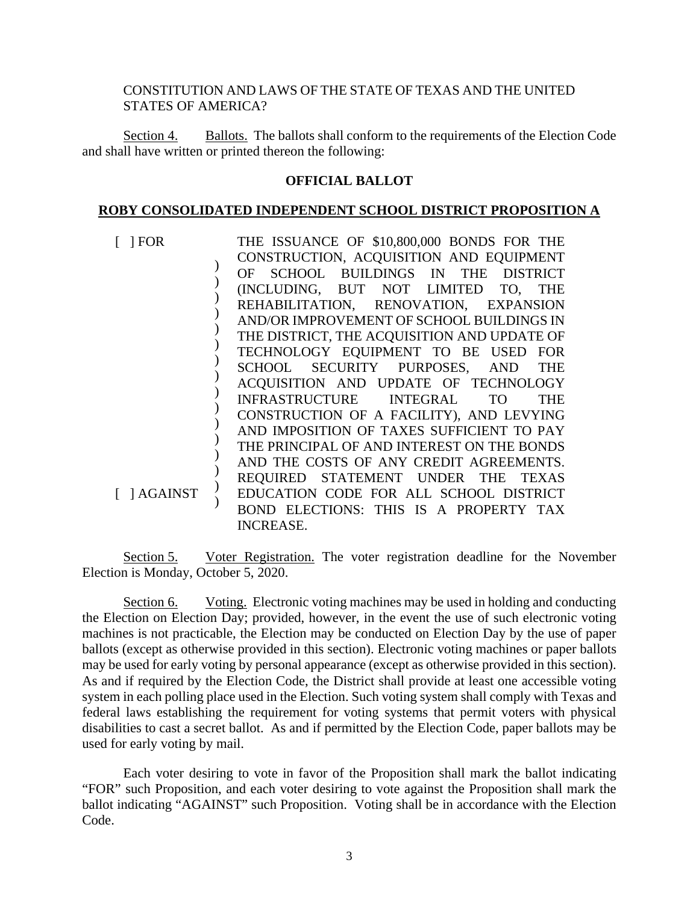### CONSTITUTION AND LAWS OF THE STATE OF TEXAS AND THE UNITED STATES OF AMERICA?

Section 4. Ballots. The ballots shall conform to the requirements of the Election Code and shall have written or printed thereon the following:

#### **OFFICIAL BALLOT**

#### **ROBY CONSOLIDATED INDEPENDENT SCHOOL DISTRICT PROPOSITION A**

| $\lceil$ 1 FOR | THE ISSUANCE OF \$10,800,000 BONDS FOR THE  |
|----------------|---------------------------------------------|
|                | CONSTRUCTION, ACQUISITION AND EQUIPMENT     |
|                | OF SCHOOL BUILDINGS IN THE DISTRICT         |
|                | (INCLUDING, BUT NOT LIMITED TO, THE         |
|                | REHABILITATION, RENOVATION, EXPANSION       |
|                | AND/OR IMPROVEMENT OF SCHOOL BUILDINGS IN   |
|                | THE DISTRICT, THE ACQUISITION AND UPDATE OF |
|                | TECHNOLOGY EQUIPMENT TO BE USED FOR         |
|                | SCHOOL SECURITY PURPOSES, AND THE           |
|                | ACQUISITION AND UPDATE OF TECHNOLOGY        |
|                | INFRASTRUCTURE INTEGRAL TO<br><b>THE</b>    |
|                | CONSTRUCTION OF A FACILITY), AND LEVYING    |
|                | AND IMPOSITION OF TAXES SUFFICIENT TO PAY   |
|                | THE PRINCIPAL OF AND INTEREST ON THE BONDS  |
|                | AND THE COSTS OF ANY CREDIT AGREEMENTS.     |
|                | REQUIRED STATEMENT UNDER THE TEXAS          |
| [ ] AGAINST    | EDUCATION CODE FOR ALL SCHOOL DISTRICT      |
|                | BOND ELECTIONS: THIS IS A PROPERTY TAX      |
|                | <b>INCREASE.</b>                            |

Section 5. Voter Registration. The voter registration deadline for the November Election is Monday, October 5, 2020.

Section 6. Voting. Electronic voting machines may be used in holding and conducting the Election on Election Day; provided, however, in the event the use of such electronic voting machines is not practicable, the Election may be conducted on Election Day by the use of paper ballots (except as otherwise provided in this section). Electronic voting machines or paper ballots may be used for early voting by personal appearance (except as otherwise provided in this section). As and if required by the Election Code, the District shall provide at least one accessible voting system in each polling place used in the Election. Such voting system shall comply with Texas and federal laws establishing the requirement for voting systems that permit voters with physical disabilities to cast a secret ballot. As and if permitted by the Election Code, paper ballots may be used for early voting by mail.

Each voter desiring to vote in favor of the Proposition shall mark the ballot indicating "FOR" such Proposition, and each voter desiring to vote against the Proposition shall mark the ballot indicating "AGAINST" such Proposition. Voting shall be in accordance with the Election Code.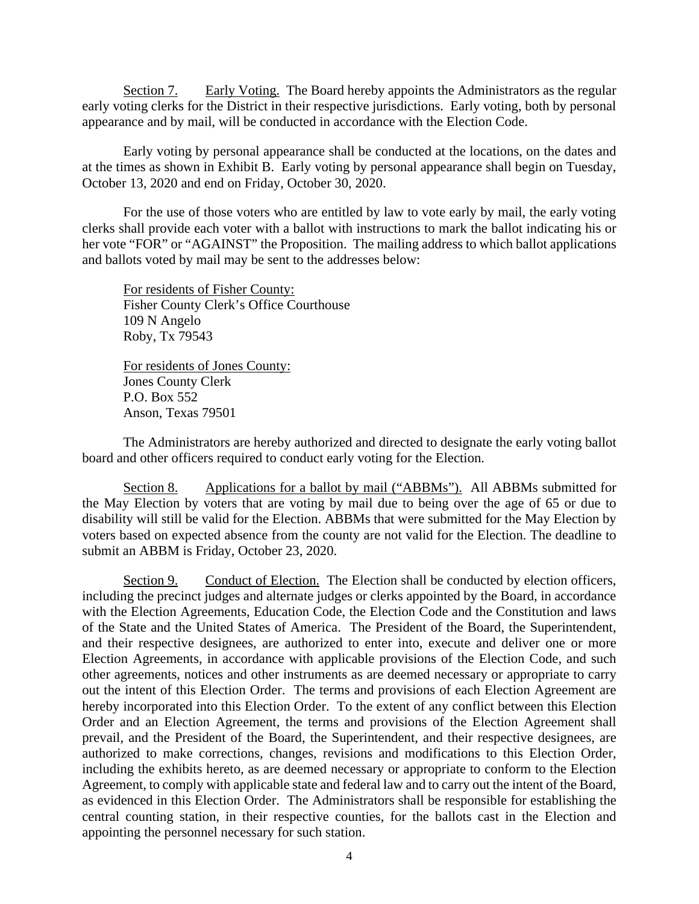Section 7. Early Voting. The Board hereby appoints the Administrators as the regular early voting clerks for the District in their respective jurisdictions. Early voting, both by personal appearance and by mail, will be conducted in accordance with the Election Code.

Early voting by personal appearance shall be conducted at the locations, on the dates and at the times as shown in Exhibit B. Early voting by personal appearance shall begin on Tuesday, October 13, 2020 and end on Friday, October 30, 2020.

For the use of those voters who are entitled by law to vote early by mail, the early voting clerks shall provide each voter with a ballot with instructions to mark the ballot indicating his or her vote "FOR" or "AGAINST" the Proposition. The mailing address to which ballot applications and ballots voted by mail may be sent to the addresses below:

For residents of Fisher County: Fisher County Clerk's Office Courthouse 109 N Angelo Roby, Tx 79543

For residents of Jones County: Jones County Clerk P.O. Box 552 Anson, Texas 79501

The Administrators are hereby authorized and directed to designate the early voting ballot board and other officers required to conduct early voting for the Election.

Section 8. Applications for a ballot by mail ("ABBMs"). All ABBMs submitted for the May Election by voters that are voting by mail due to being over the age of 65 or due to disability will still be valid for the Election. ABBMs that were submitted for the May Election by voters based on expected absence from the county are not valid for the Election. The deadline to submit an ABBM is Friday, October 23, 2020.

Section 9. Conduct of Election. The Election shall be conducted by election officers, including the precinct judges and alternate judges or clerks appointed by the Board, in accordance with the Election Agreements, Education Code, the Election Code and the Constitution and laws of the State and the United States of America. The President of the Board, the Superintendent, and their respective designees, are authorized to enter into, execute and deliver one or more Election Agreements, in accordance with applicable provisions of the Election Code, and such other agreements, notices and other instruments as are deemed necessary or appropriate to carry out the intent of this Election Order. The terms and provisions of each Election Agreement are hereby incorporated into this Election Order. To the extent of any conflict between this Election Order and an Election Agreement, the terms and provisions of the Election Agreement shall prevail, and the President of the Board, the Superintendent, and their respective designees, are authorized to make corrections, changes, revisions and modifications to this Election Order, including the exhibits hereto, as are deemed necessary or appropriate to conform to the Election Agreement, to comply with applicable state and federal law and to carry out the intent of the Board, as evidenced in this Election Order. The Administrators shall be responsible for establishing the central counting station, in their respective counties, for the ballots cast in the Election and appointing the personnel necessary for such station.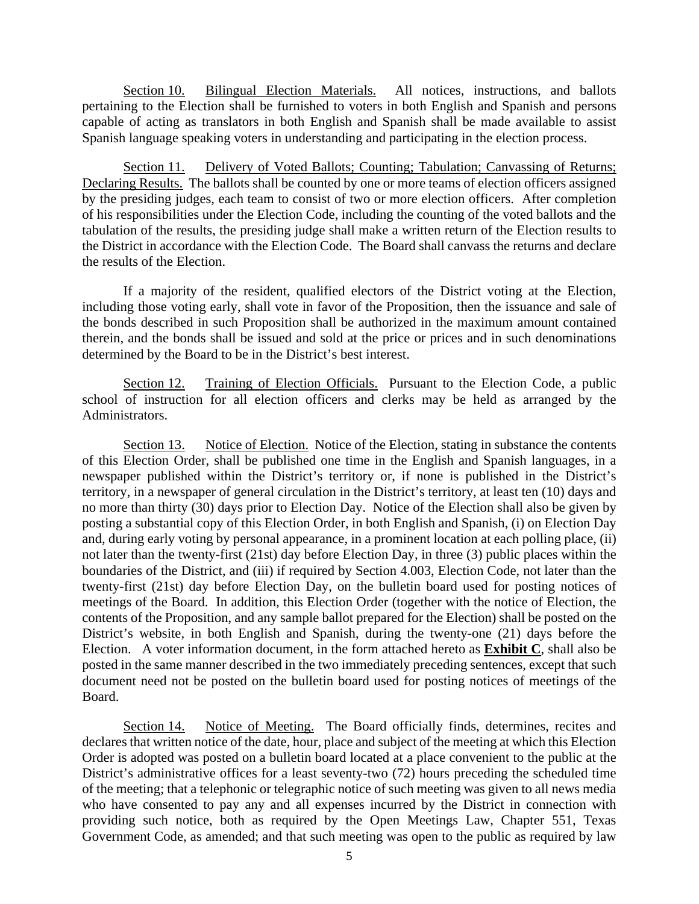Section 10. Bilingual Election Materials. All notices, instructions, and ballots pertaining to the Election shall be furnished to voters in both English and Spanish and persons capable of acting as translators in both English and Spanish shall be made available to assist Spanish language speaking voters in understanding and participating in the election process.

Section 11. Delivery of Voted Ballots; Counting; Tabulation; Canvassing of Returns; Declaring Results. The ballots shall be counted by one or more teams of election officers assigned by the presiding judges, each team to consist of two or more election officers. After completion of his responsibilities under the Election Code, including the counting of the voted ballots and the tabulation of the results, the presiding judge shall make a written return of the Election results to the District in accordance with the Election Code. The Board shall canvass the returns and declare the results of the Election.

If a majority of the resident, qualified electors of the District voting at the Election, including those voting early, shall vote in favor of the Proposition, then the issuance and sale of the bonds described in such Proposition shall be authorized in the maximum amount contained therein, and the bonds shall be issued and sold at the price or prices and in such denominations determined by the Board to be in the District's best interest.

Section 12. Training of Election Officials. Pursuant to the Election Code, a public school of instruction for all election officers and clerks may be held as arranged by the Administrators.

Section 13. Notice of Election. Notice of the Election, stating in substance the contents of this Election Order, shall be published one time in the English and Spanish languages, in a newspaper published within the District's territory or, if none is published in the District's territory, in a newspaper of general circulation in the District's territory, at least ten (10) days and no more than thirty (30) days prior to Election Day. Notice of the Election shall also be given by posting a substantial copy of this Election Order, in both English and Spanish, (i) on Election Day and, during early voting by personal appearance, in a prominent location at each polling place, (ii) not later than the twenty-first (21st) day before Election Day, in three (3) public places within the boundaries of the District, and (iii) if required by Section 4.003, Election Code, not later than the twenty-first (21st) day before Election Day, on the bulletin board used for posting notices of meetings of the Board. In addition, this Election Order (together with the notice of Election, the contents of the Proposition, and any sample ballot prepared for the Election) shall be posted on the District's website, in both English and Spanish, during the twenty-one (21) days before the Election. A voter information document, in the form attached hereto as **Exhibit C**, shall also be posted in the same manner described in the two immediately preceding sentences, except that such document need not be posted on the bulletin board used for posting notices of meetings of the Board.

Section 14. Notice of Meeting. The Board officially finds, determines, recites and declares that written notice of the date, hour, place and subject of the meeting at which this Election Order is adopted was posted on a bulletin board located at a place convenient to the public at the District's administrative offices for a least seventy-two (72) hours preceding the scheduled time of the meeting; that a telephonic or telegraphic notice of such meeting was given to all news media who have consented to pay any and all expenses incurred by the District in connection with providing such notice, both as required by the Open Meetings Law, Chapter 551, Texas Government Code, as amended; and that such meeting was open to the public as required by law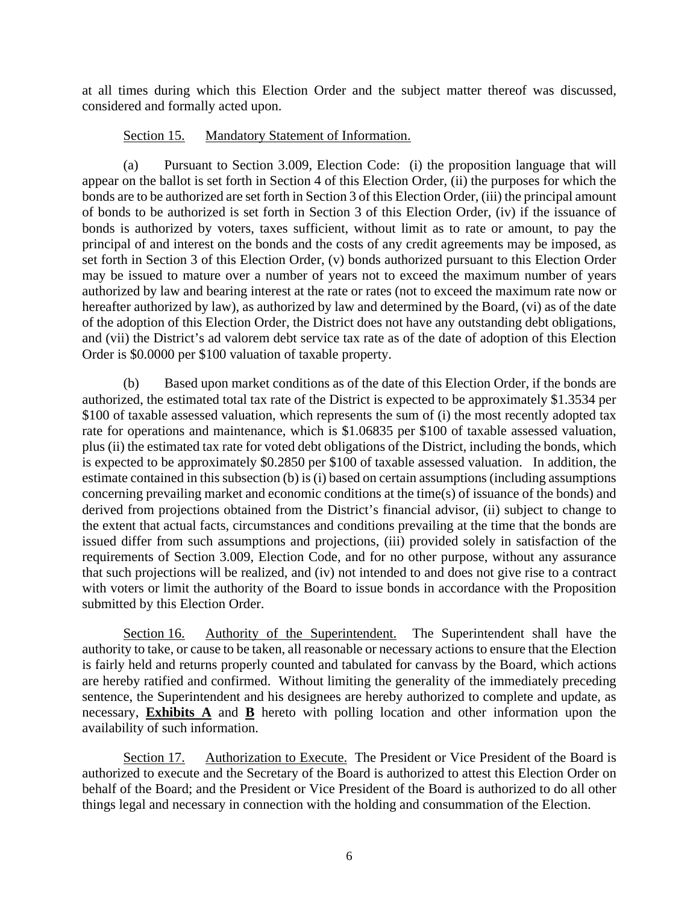at all times during which this Election Order and the subject matter thereof was discussed, considered and formally acted upon.

## Section 15. Mandatory Statement of Information.

(a) Pursuant to Section 3.009, Election Code: (i) the proposition language that will appear on the ballot is set forth in Section 4 of this Election Order, (ii) the purposes for which the bonds are to be authorized are set forth in Section 3 of this Election Order, (iii) the principal amount of bonds to be authorized is set forth in Section 3 of this Election Order, (iv) if the issuance of bonds is authorized by voters, taxes sufficient, without limit as to rate or amount, to pay the principal of and interest on the bonds and the costs of any credit agreements may be imposed, as set forth in Section 3 of this Election Order, (v) bonds authorized pursuant to this Election Order may be issued to mature over a number of years not to exceed the maximum number of years authorized by law and bearing interest at the rate or rates (not to exceed the maximum rate now or hereafter authorized by law), as authorized by law and determined by the Board, (vi) as of the date of the adoption of this Election Order, the District does not have any outstanding debt obligations, and (vii) the District's ad valorem debt service tax rate as of the date of adoption of this Election Order is \$0.0000 per \$100 valuation of taxable property.

(b) Based upon market conditions as of the date of this Election Order, if the bonds are authorized, the estimated total tax rate of the District is expected to be approximately \$1.3534 per \$100 of taxable assessed valuation, which represents the sum of (i) the most recently adopted tax rate for operations and maintenance, which is \$1.06835 per \$100 of taxable assessed valuation, plus (ii) the estimated tax rate for voted debt obligations of the District, including the bonds, which is expected to be approximately \$0.2850 per \$100 of taxable assessed valuation. In addition, the estimate contained in this subsection (b) is (i) based on certain assumptions (including assumptions concerning prevailing market and economic conditions at the time(s) of issuance of the bonds) and derived from projections obtained from the District's financial advisor, (ii) subject to change to the extent that actual facts, circumstances and conditions prevailing at the time that the bonds are issued differ from such assumptions and projections, (iii) provided solely in satisfaction of the requirements of Section 3.009, Election Code, and for no other purpose, without any assurance that such projections will be realized, and (iv) not intended to and does not give rise to a contract with voters or limit the authority of the Board to issue bonds in accordance with the Proposition submitted by this Election Order.

Section 16. Authority of the Superintendent. The Superintendent shall have the authority to take, or cause to be taken, all reasonable or necessary actions to ensure that the Election is fairly held and returns properly counted and tabulated for canvass by the Board, which actions are hereby ratified and confirmed. Without limiting the generality of the immediately preceding sentence, the Superintendent and his designees are hereby authorized to complete and update, as necessary, **Exhibits A** and **B** hereto with polling location and other information upon the availability of such information.

Section 17. Authorization to Execute. The President or Vice President of the Board is authorized to execute and the Secretary of the Board is authorized to attest this Election Order on behalf of the Board; and the President or Vice President of the Board is authorized to do all other things legal and necessary in connection with the holding and consummation of the Election.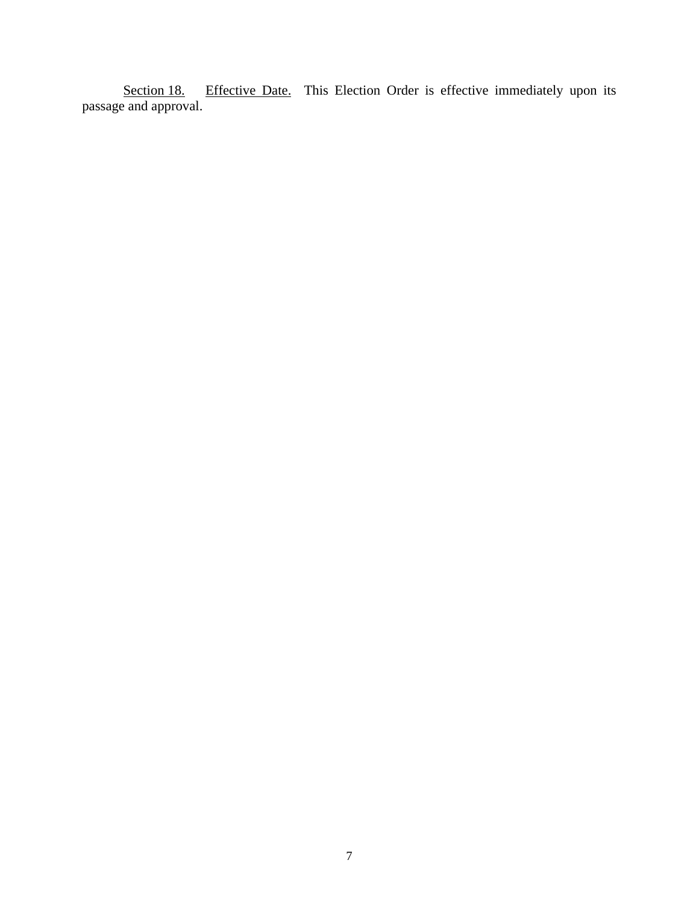Effective Date. This Election Order is effective immediately upon its Section 18. I<br>passage and approval.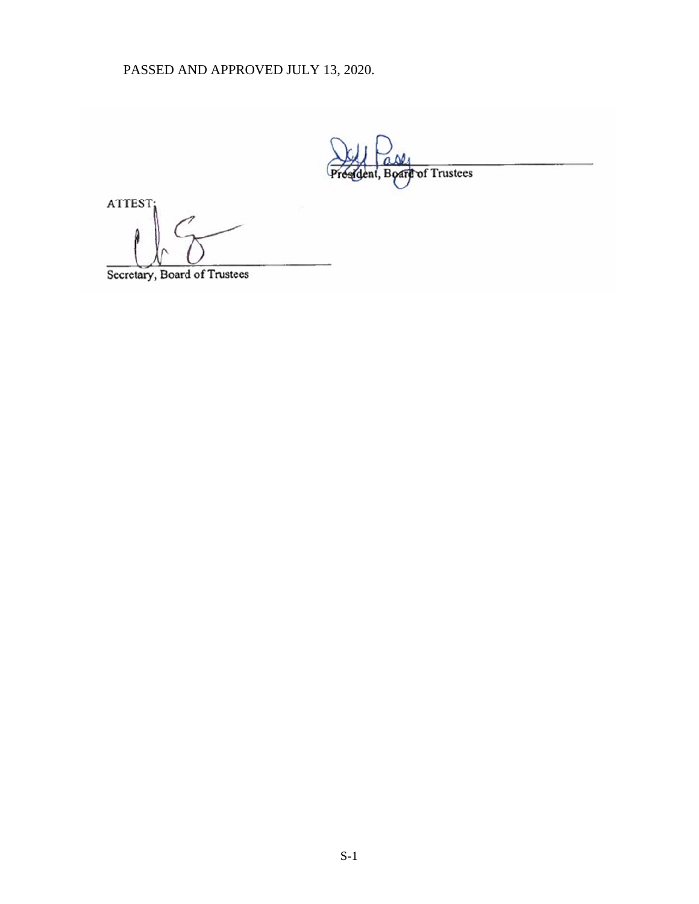PASSED AND APPROVED JULY 13, 2020.

Board of Trustees

ATTEST:

Secretary, Board of Trustees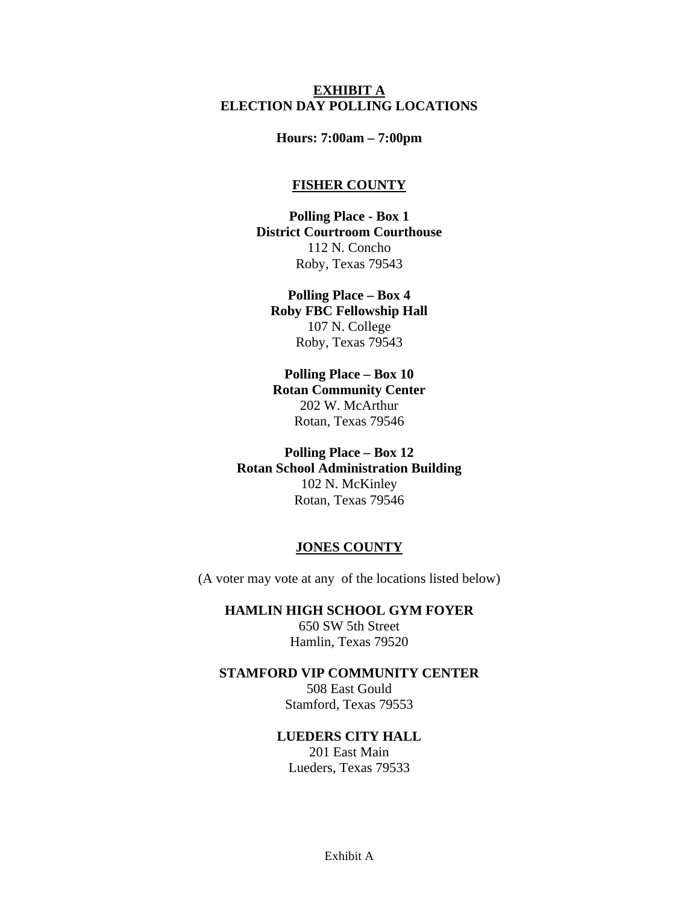#### **EXHIBIT A ELECTION DAY POLLING LOCATIONS**

#### **Hours: 7:00am – 7:00pm**

#### **FISHER COUNTY**

**Polling Place - Box 1 District Courtroom Courthouse**  112 N. Concho Roby, Texas 79543

**Polling Place – Box 4 Roby FBC Fellowship Hall**  107 N. College Roby, Texas 79543

**Polling Place – Box 10 Rotan Community Center**  202 W. McArthur Rotan, Texas 79546

**Polling Place – Box 12 Rotan School Administration Building**  102 N. McKinley Rotan, Texas 79546

#### **JONES COUNTY**

(A voter may vote at any of the locations listed below)

**HAMLIN HIGH SCHOOL GYM FOYER** 

650 SW 5th Street Hamlin, Texas 79520

#### **STAMFORD VIP COMMUNITY CENTER**

508 East Gould Stamford, Texas 79553

## **LUEDERS CITY HALL**

201 East Main Lueders, Texas 79533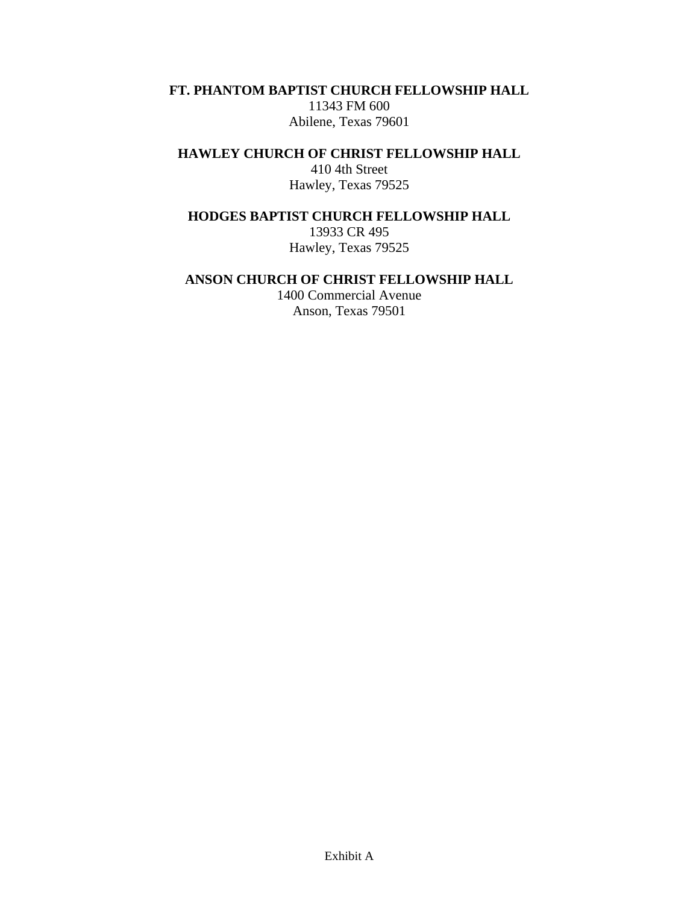**FT. PHANTOM BAPTIST CHURCH FELLOWSHIP HALL** 

11343 FM 600 Abilene, Texas 79601

**HAWLEY CHURCH OF CHRIST FELLOWSHIP HALL** 

410 4th Street Hawley, Texas 79525

**HODGES BAPTIST CHURCH FELLOWSHIP HALL** 

13933 CR 495 Hawley, Texas 79525

## **ANSON CHURCH OF CHRIST FELLOWSHIP HALL**

1400 Commercial Avenue Anson, Texas 79501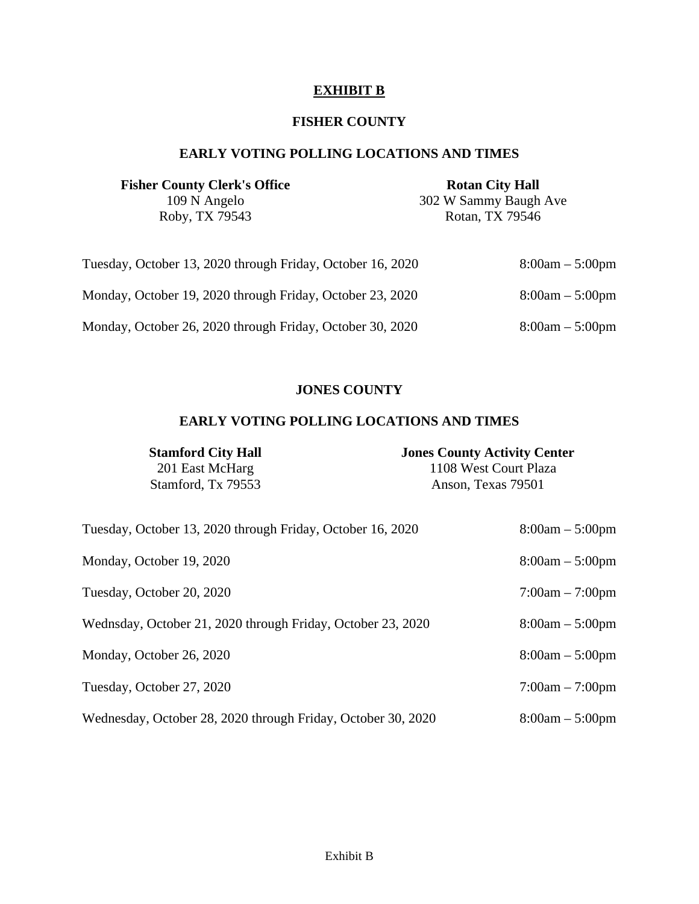# **EXHIBIT B**

# **FISHER COUNTY**

# **EARLY VOTING POLLING LOCATIONS AND TIMES**

| <b>Fisher County Clerk's Office</b>                        | <b>Rotan City Hall</b> |
|------------------------------------------------------------|------------------------|
| 109 N Angelo                                               | 302 W Sammy Baugh Ave  |
| Roby, TX 79543                                             | Rotan, TX 79546        |
|                                                            |                        |
| Tuesday, October 13, 2020 through Friday, October 16, 2020 | $8:00am - 5:00pm$      |
| Monday, October 19, 2020 through Friday, October 23, 2020  | $8:00am - 5:00pm$      |
| Monday, October 26, 2020 through Friday, October 30, 2020  | $8:00am - 5:00pm$      |

## **JONES COUNTY**

# **EARLY VOTING POLLING LOCATIONS AND TIMES**

| <b>Stamford City Hall</b><br>201 East McHarg                 | <b>Jones County Activity Center</b><br>1108 West Court Plaza |  |
|--------------------------------------------------------------|--------------------------------------------------------------|--|
| Stamford, Tx 79553                                           | Anson, Texas 79501                                           |  |
| Tuesday, October 13, 2020 through Friday, October 16, 2020   | $8:00am - 5:00pm$                                            |  |
| Monday, October 19, 2020                                     | $8:00am - 5:00pm$                                            |  |
| Tuesday, October 20, 2020                                    | $7:00am - 7:00pm$                                            |  |
| Wednsday, October 21, 2020 through Friday, October 23, 2020  | $8:00am - 5:00pm$                                            |  |
| Monday, October 26, 2020                                     | $8:00am - 5:00pm$                                            |  |
| Tuesday, October 27, 2020                                    | $7:00am - 7:00pm$                                            |  |
| Wednesday, October 28, 2020 through Friday, October 30, 2020 | $8:00am - 5:00pm$                                            |  |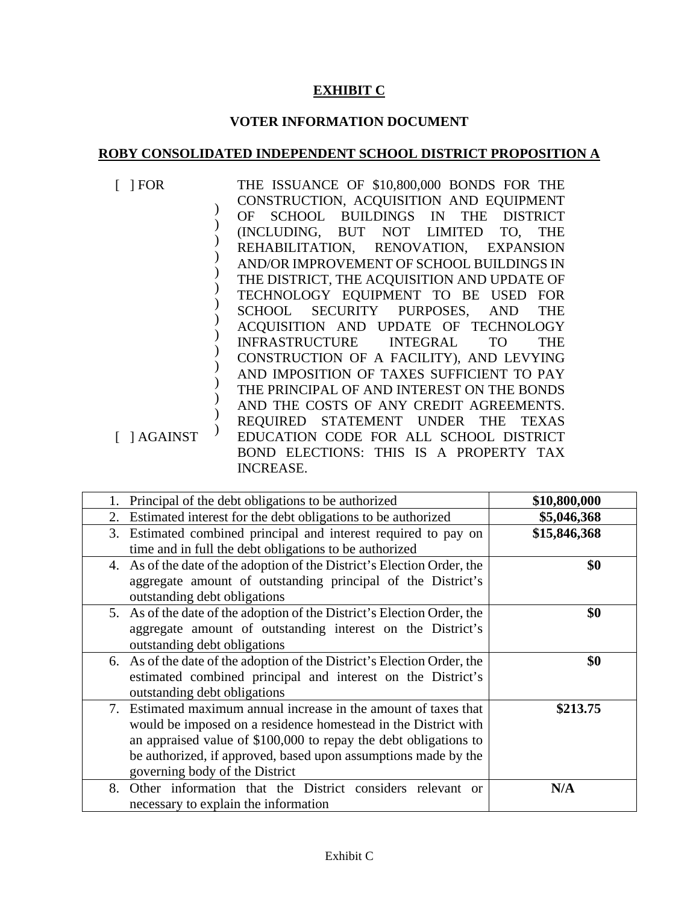# **EXHIBIT C**

# **VOTER INFORMATION DOCUMENT**

# **ROBY CONSOLIDATED INDEPENDENT SCHOOL DISTRICT PROPOSITION A**

| FOR             | THE ISSUANCE OF \$10,800,000 BONDS FOR THE    |
|-----------------|-----------------------------------------------|
|                 | CONSTRUCTION, ACQUISITION AND EQUIPMENT       |
|                 | OF SCHOOL BUILDINGS IN THE DISTRICT           |
|                 | (INCLUDING, BUT NOT LIMITED TO,<br><b>THE</b> |
|                 | REHABILITATION, RENOVATION, EXPANSION         |
|                 | AND/OR IMPROVEMENT OF SCHOOL BUILDINGS IN     |
|                 | THE DISTRICT, THE ACQUISITION AND UPDATE OF   |
|                 | TECHNOLOGY EQUIPMENT TO BE USED FOR           |
|                 | SCHOOL SECURITY PURPOSES, AND THE             |
|                 | ACQUISITION AND UPDATE OF TECHNOLOGY          |
|                 | INFRASTRUCTURE INTEGRAL TO<br><b>THE</b>      |
|                 | CONSTRUCTION OF A FACILITY), AND LEVYING      |
|                 | AND IMPOSITION OF TAXES SUFFICIENT TO PAY     |
|                 | THE PRINCIPAL OF AND INTEREST ON THE BONDS    |
|                 | AND THE COSTS OF ANY CREDIT AGREEMENTS.       |
|                 | REQUIRED STATEMENT UNDER THE TEXAS            |
| $[$ $]$ AGAINST | EDUCATION CODE FOR ALL SCHOOL DISTRICT        |
|                 | BOND ELECTIONS: THIS IS A PROPERTY TAX        |
|                 | <b>INCREASE.</b>                              |

| Principal of the debt obligations to be authorized                      | \$10,800,000 |
|-------------------------------------------------------------------------|--------------|
| 2. Estimated interest for the debt obligations to be authorized         | \$5,046,368  |
| 3. Estimated combined principal and interest required to pay on         | \$15,846,368 |
| time and in full the debt obligations to be authorized                  |              |
| 4. As of the date of the adoption of the District's Election Order, the | \$0          |
| aggregate amount of outstanding principal of the District's             |              |
| outstanding debt obligations                                            |              |
| 5. As of the date of the adoption of the District's Election Order, the | \$0          |
| aggregate amount of outstanding interest on the District's              |              |
| outstanding debt obligations                                            |              |
| 6. As of the date of the adoption of the District's Election Order, the | \$0          |
| estimated combined principal and interest on the District's             |              |
| outstanding debt obligations                                            |              |
| 7. Estimated maximum annual increase in the amount of taxes that        | \$213.75     |
| would be imposed on a residence homestead in the District with          |              |
| an appraised value of \$100,000 to repay the debt obligations to        |              |
| be authorized, if approved, based upon assumptions made by the          |              |
| governing body of the District                                          |              |
| Other information that the District considers relevant or<br>8.         | N/A          |
| necessary to explain the information                                    |              |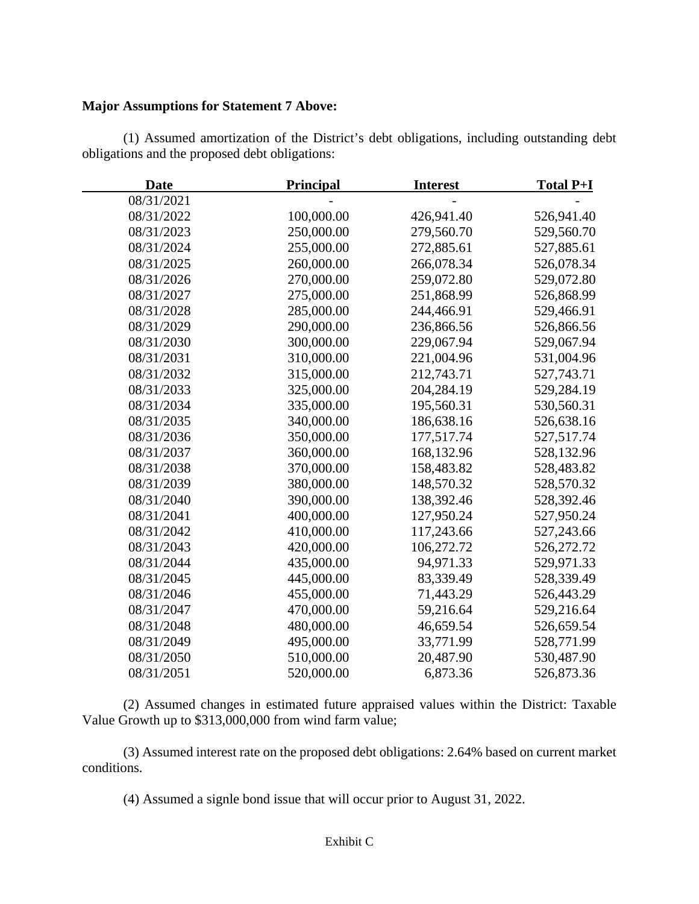#### **Major Assumptions for Statement 7 Above:**

(1) Assumed amortization of the District's debt obligations, including outstanding debt obligations and the proposed debt obligations:

| <b>Date</b> | <b>Principal</b> | <b>Interest</b> | <b>Total P+I</b> |
|-------------|------------------|-----------------|------------------|
| 08/31/2021  |                  |                 |                  |
| 08/31/2022  | 100,000.00       | 426,941.40      | 526,941.40       |
| 08/31/2023  | 250,000.00       | 279,560.70      | 529,560.70       |
| 08/31/2024  | 255,000.00       | 272,885.61      | 527,885.61       |
| 08/31/2025  | 260,000.00       | 266,078.34      | 526,078.34       |
| 08/31/2026  | 270,000.00       | 259,072.80      | 529,072.80       |
| 08/31/2027  | 275,000.00       | 251,868.99      | 526,868.99       |
| 08/31/2028  | 285,000.00       | 244,466.91      | 529,466.91       |
| 08/31/2029  | 290,000.00       | 236,866.56      | 526,866.56       |
| 08/31/2030  | 300,000.00       | 229,067.94      | 529,067.94       |
| 08/31/2031  | 310,000.00       | 221,004.96      | 531,004.96       |
| 08/31/2032  | 315,000.00       | 212,743.71      | 527,743.71       |
| 08/31/2033  | 325,000.00       | 204,284.19      | 529,284.19       |
| 08/31/2034  | 335,000.00       | 195,560.31      | 530,560.31       |
| 08/31/2035  | 340,000.00       | 186,638.16      | 526,638.16       |
| 08/31/2036  | 350,000.00       | 177,517.74      | 527,517.74       |
| 08/31/2037  | 360,000.00       | 168,132.96      | 528,132.96       |
| 08/31/2038  | 370,000.00       | 158,483.82      | 528,483.82       |
| 08/31/2039  | 380,000.00       | 148,570.32      | 528,570.32       |
| 08/31/2040  | 390,000.00       | 138,392.46      | 528,392.46       |
| 08/31/2041  | 400,000.00       | 127,950.24      | 527,950.24       |
| 08/31/2042  | 410,000.00       | 117,243.66      | 527,243.66       |
| 08/31/2043  | 420,000.00       | 106,272.72      | 526,272.72       |
| 08/31/2044  | 435,000.00       | 94,971.33       | 529,971.33       |
| 08/31/2045  | 445,000.00       | 83,339.49       | 528,339.49       |
| 08/31/2046  | 455,000.00       | 71,443.29       | 526,443.29       |
| 08/31/2047  | 470,000.00       | 59,216.64       | 529,216.64       |
| 08/31/2048  | 480,000.00       | 46,659.54       | 526,659.54       |
| 08/31/2049  | 495,000.00       | 33,771.99       | 528,771.99       |
| 08/31/2050  | 510,000.00       | 20,487.90       | 530,487.90       |
| 08/31/2051  | 520,000.00       | 6,873.36        | 526,873.36       |

(2) Assumed changes in estimated future appraised values within the District: Taxable Value Growth up to \$313,000,000 from wind farm value;

(3) Assumed interest rate on the proposed debt obligations: 2.64% based on current market conditions.

(4) Assumed a signle bond issue that will occur prior to August 31, 2022.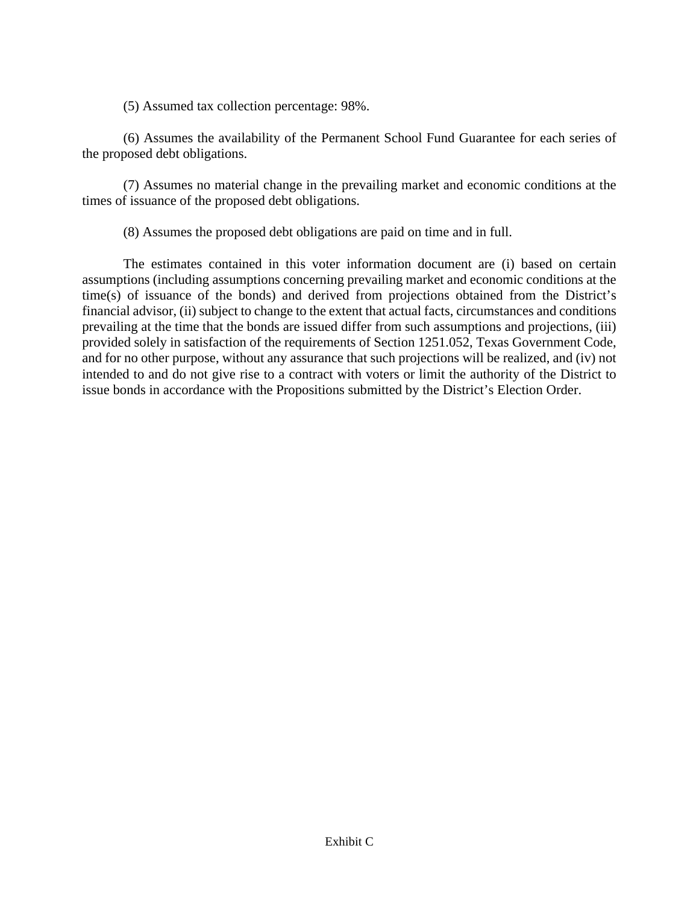(5) Assumed tax collection percentage: 98%.

(6) Assumes the availability of the Permanent School Fund Guarantee for each series of the proposed debt obligations.

(7) Assumes no material change in the prevailing market and economic conditions at the times of issuance of the proposed debt obligations.

(8) Assumes the proposed debt obligations are paid on time and in full.

The estimates contained in this voter information document are (i) based on certain assumptions (including assumptions concerning prevailing market and economic conditions at the time(s) of issuance of the bonds) and derived from projections obtained from the District's financial advisor, (ii) subject to change to the extent that actual facts, circumstances and conditions prevailing at the time that the bonds are issued differ from such assumptions and projections, (iii) provided solely in satisfaction of the requirements of Section 1251.052, Texas Government Code, and for no other purpose, without any assurance that such projections will be realized, and (iv) not intended to and do not give rise to a contract with voters or limit the authority of the District to issue bonds in accordance with the Propositions submitted by the District's Election Order.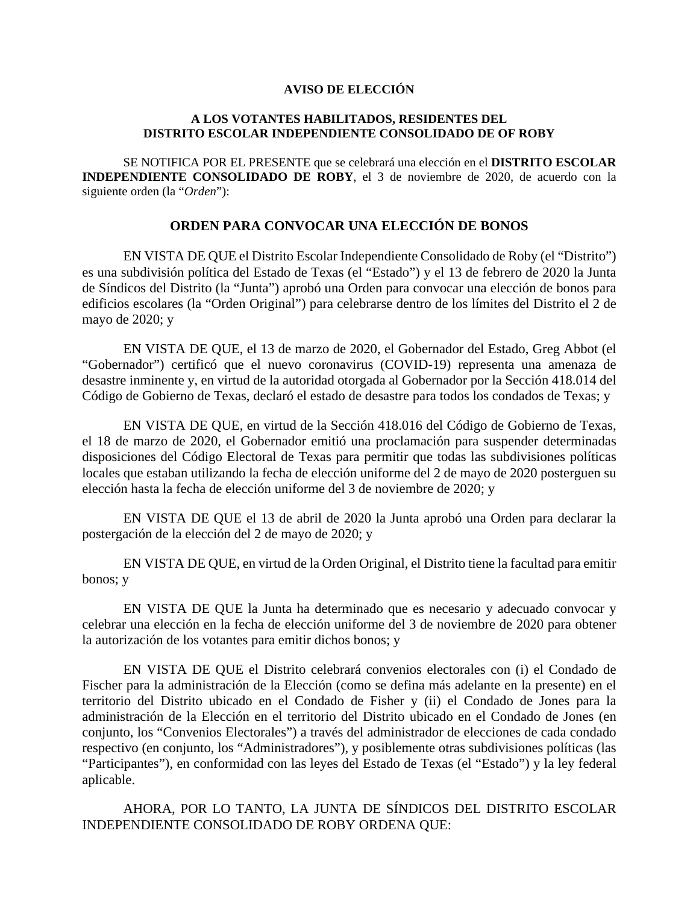#### **AVISO DE ELECCIÓN**

#### **A LOS VOTANTES HABILITADOS, RESIDENTES DEL DISTRITO ESCOLAR INDEPENDIENTE CONSOLIDADO DE OF ROBY**

 SE NOTIFICA POR EL PRESENTE que se celebrará una elección en el **DISTRITO ESCOLAR INDEPENDIENTE CONSOLIDADO DE ROBY**, el 3 de noviembre de 2020, de acuerdo con la siguiente orden (la "*Orden*"):

## **ORDEN PARA CONVOCAR UNA ELECCIÓN DE BONOS**

EN VISTA DE QUE el Distrito Escolar Independiente Consolidado de Roby (el "Distrito") es una subdivisión política del Estado de Texas (el "Estado") y el 13 de febrero de 2020 la Junta de Síndicos del Distrito (la "Junta") aprobó una Orden para convocar una elección de bonos para edificios escolares (la "Orden Original") para celebrarse dentro de los límites del Distrito el 2 de mayo de 2020; y

EN VISTA DE QUE, el 13 de marzo de 2020, el Gobernador del Estado, Greg Abbot (el "Gobernador") certificó que el nuevo coronavirus (COVID-19) representa una amenaza de desastre inminente y, en virtud de la autoridad otorgada al Gobernador por la Sección 418.014 del Código de Gobierno de Texas, declaró el estado de desastre para todos los condados de Texas; y

EN VISTA DE QUE, en virtud de la Sección 418.016 del Código de Gobierno de Texas, el 18 de marzo de 2020, el Gobernador emitió una proclamación para suspender determinadas disposiciones del Código Electoral de Texas para permitir que todas las subdivisiones políticas locales que estaban utilizando la fecha de elección uniforme del 2 de mayo de 2020 posterguen su elección hasta la fecha de elección uniforme del 3 de noviembre de 2020; y

EN VISTA DE QUE el 13 de abril de 2020 la Junta aprobó una Orden para declarar la postergación de la elección del 2 de mayo de 2020; y

EN VISTA DE QUE, en virtud de la Orden Original, el Distrito tiene la facultad para emitir bonos; y

EN VISTA DE QUE la Junta ha determinado que es necesario y adecuado convocar y celebrar una elección en la fecha de elección uniforme del 3 de noviembre de 2020 para obtener la autorización de los votantes para emitir dichos bonos; y

EN VISTA DE QUE el Distrito celebrará convenios electorales con (i) el Condado de Fischer para la administración de la Elección (como se defina más adelante en la presente) en el territorio del Distrito ubicado en el Condado de Fisher y (ii) el Condado de Jones para la administración de la Elección en el territorio del Distrito ubicado en el Condado de Jones (en conjunto, los "Convenios Electorales") a través del administrador de elecciones de cada condado respectivo (en conjunto, los "Administradores"), y posiblemente otras subdivisiones políticas (las "Participantes"), en conformidad con las leyes del Estado de Texas (el "Estado") y la ley federal aplicable.

AHORA, POR LO TANTO, LA JUNTA DE SÍNDICOS DEL DISTRITO ESCOLAR INDEPENDIENTE CONSOLIDADO DE ROBY ORDENA QUE: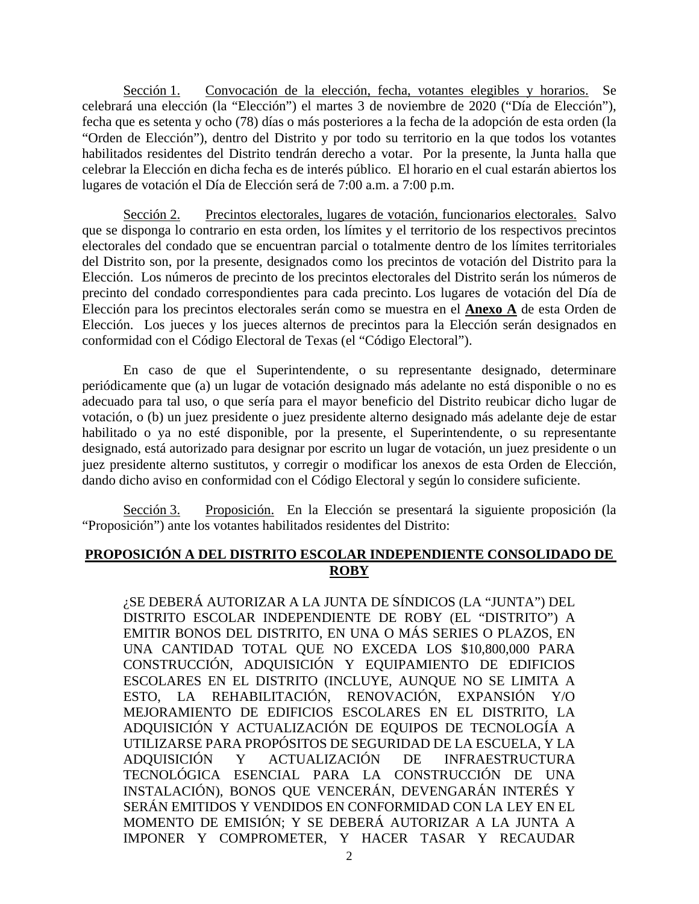Sección 1. Convocación de la elección, fecha, votantes elegibles y horarios. Se celebrará una elección (la "Elección") el martes 3 de noviembre de 2020 ("Día de Elección"), fecha que es setenta y ocho (78) días o más posteriores a la fecha de la adopción de esta orden (la "Orden de Elección"), dentro del Distrito y por todo su territorio en la que todos los votantes habilitados residentes del Distrito tendrán derecho a votar. Por la presente, la Junta halla que celebrar la Elección en dicha fecha es de interés público. El horario en el cual estarán abiertos los lugares de votación el Día de Elección será de 7:00 a.m. a 7:00 p.m.

Sección 2. Precintos electorales, lugares de votación, funcionarios electorales. Salvo que se disponga lo contrario en esta orden, los límites y el territorio de los respectivos precintos electorales del condado que se encuentran parcial o totalmente dentro de los límites territoriales del Distrito son, por la presente, designados como los precintos de votación del Distrito para la Elección. Los números de precinto de los precintos electorales del Distrito serán los números de precinto del condado correspondientes para cada precinto. Los lugares de votación del Día de Elección para los precintos electorales serán como se muestra en el **Anexo A** de esta Orden de Elección. Los jueces y los jueces alternos de precintos para la Elección serán designados en conformidad con el Código Electoral de Texas (el "Código Electoral").

En caso de que el Superintendente, o su representante designado, determinare periódicamente que (a) un lugar de votación designado más adelante no está disponible o no es adecuado para tal uso, o que sería para el mayor beneficio del Distrito reubicar dicho lugar de votación, o (b) un juez presidente o juez presidente alterno designado más adelante deje de estar habilitado o ya no esté disponible, por la presente, el Superintendente, o su representante designado, está autorizado para designar por escrito un lugar de votación, un juez presidente o un juez presidente alterno sustitutos, y corregir o modificar los anexos de esta Orden de Elección, dando dicho aviso en conformidad con el Código Electoral y según lo considere suficiente.

Sección 3. Proposición. En la Elección se presentará la siguiente proposición (la "Proposición") ante los votantes habilitados residentes del Distrito:

## **PROPOSICIÓN A DEL DISTRITO ESCOLAR INDEPENDIENTE CONSOLIDADO DE ROBY**

¿SE DEBERÁ AUTORIZAR A LA JUNTA DE SÍNDICOS (LA "JUNTA") DEL DISTRITO ESCOLAR INDEPENDIENTE DE ROBY (EL "DISTRITO") A EMITIR BONOS DEL DISTRITO, EN UNA O MÁS SERIES O PLAZOS, EN UNA CANTIDAD TOTAL QUE NO EXCEDA LOS \$10,800,000 PARA CONSTRUCCIÓN, ADQUISICIÓN Y EQUIPAMIENTO DE EDIFICIOS ESCOLARES EN EL DISTRITO (INCLUYE, AUNQUE NO SE LIMITA A ESTO, LA REHABILITACIÓN, RENOVACIÓN, EXPANSIÓN Y/O MEJORAMIENTO DE EDIFICIOS ESCOLARES EN EL DISTRITO, LA ADQUISICIÓN Y ACTUALIZACIÓN DE EQUIPOS DE TECNOLOGÍA A UTILIZARSE PARA PROPÓSITOS DE SEGURIDAD DE LA ESCUELA, Y LA ADQUISICIÓN Y ACTUALIZACIÓN DE INFRAESTRUCTURA TECNOLÓGICA ESENCIAL PARA LA CONSTRUCCIÓN DE UNA INSTALACIÓN), BONOS QUE VENCERÁN, DEVENGARÁN INTERÉS Y SERÁN EMITIDOS Y VENDIDOS EN CONFORMIDAD CON LA LEY EN EL MOMENTO DE EMISIÓN; Y SE DEBERÁ AUTORIZAR A LA JUNTA A IMPONER Y COMPROMETER, Y HACER TASAR Y RECAUDAR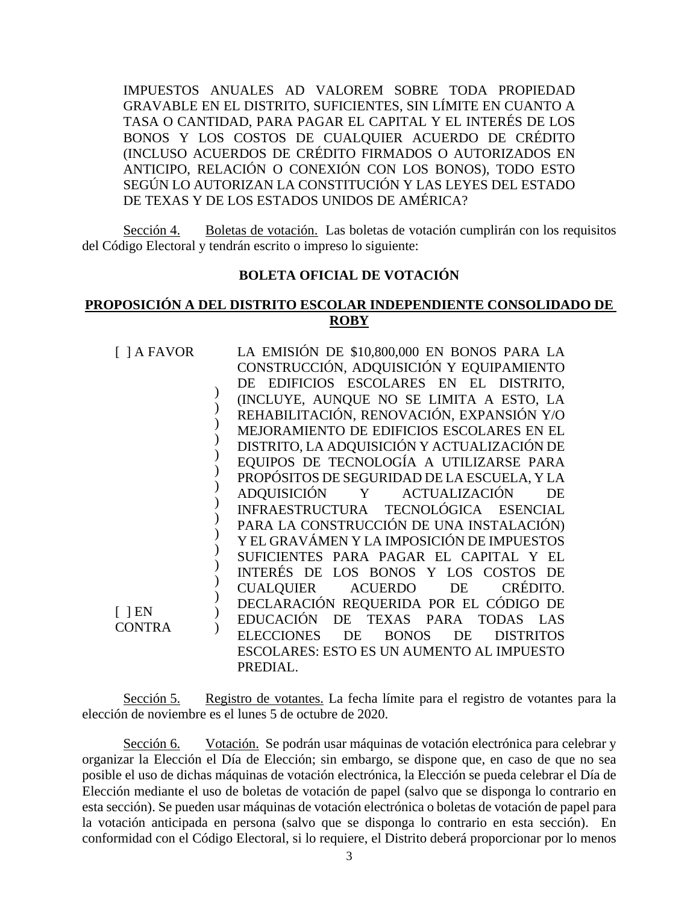IMPUESTOS ANUALES AD VALOREM SOBRE TODA PROPIEDAD GRAVABLE EN EL DISTRITO, SUFICIENTES, SIN LÍMITE EN CUANTO A TASA O CANTIDAD, PARA PAGAR EL CAPITAL Y EL INTERÉS DE LOS BONOS Y LOS COSTOS DE CUALQUIER ACUERDO DE CRÉDITO (INCLUSO ACUERDOS DE CRÉDITO FIRMADOS O AUTORIZADOS EN ANTICIPO, RELACIÓN O CONEXIÓN CON LOS BONOS), TODO ESTO SEGÚN LO AUTORIZAN LA CONSTITUCIÓN Y LAS LEYES DEL ESTADO DE TEXAS Y DE LOS ESTADOS UNIDOS DE AMÉRICA?

Sección 4. Boletas de votación. Las boletas de votación cumplirán con los requisitos del Código Electoral y tendrán escrito o impreso lo siguiente:

#### **BOLETA OFICIAL DE VOTACIÓN**

## **PROPOSICIÓN A DEL DISTRITO ESCOLAR INDEPENDIENTE CONSOLIDADO DE ROBY**

| $\lceil$ ] A FAVOR | LA EMISIÓN DE \$10,800,000 EN BONOS PARA LA                       |
|--------------------|-------------------------------------------------------------------|
|                    | CONSTRUCCIÓN, ADQUISICIÓN Y EQUIPAMIENTO                          |
|                    | DE EDIFICIOS ESCOLARES EN EL DISTRITO,                            |
|                    | (INCLUYE, AUNQUE NO SE LIMITA A ESTO, LA                          |
|                    | REHABILITACIÓN, RENOVACIÓN, EXPANSIÓN Y/O                         |
|                    | MEJORAMIENTO DE EDIFICIOS ESCOLARES EN EL                         |
|                    | DISTRITO, LA ADQUISICIÓN Y ACTUALIZACIÓN DE                       |
|                    | EQUIPOS DE TECNOLOGÍA A UTILIZARSE PARA                           |
|                    | PROPÓSITOS DE SEGURIDAD DE LA ESCUELA, Y LA                       |
|                    | <b>ADQUISICIÓN</b><br>ACTUALIZACIÓN<br>Y<br>DE                    |
|                    | INFRAESTRUCTURA TECNOLÓGICA ESENCIAL                              |
|                    | PARA LA CONSTRUCCIÓN DE UNA INSTALACIÓN)                          |
|                    | Y EL GRAVÁMEN Y LA IMPOSICIÓN DE IMPUESTOS                        |
|                    | SUFICIENTES PARA PAGAR EL CAPITAL Y                               |
|                    | INTERÉS DE LOS BONOS Y LOS COSTOS DE                              |
|                    | CRÉDITO.<br><b>ACUERDO</b><br>CUALQUIER<br>DE                     |
|                    | DECLARACIÓN REQUERIDA POR EL CÓDIGO DE                            |
| $[$ $]EN$          | <b>EDUCACIÓN</b><br>DE<br>TEXAS PARA TODAS LAS                    |
| <b>CONTRA</b>      | <b>ELECCIONES</b><br>DE<br><b>BONOS</b><br>DE<br><b>DISTRITOS</b> |
|                    | <b>ESCOLARES: ESTO ES UN AUMENTO AL IMPUESTO</b>                  |
|                    | PREDIAL.                                                          |
|                    |                                                                   |

Sección 5. Registro de votantes. La fecha límite para el registro de votantes para la elección de noviembre es el lunes 5 de octubre de 2020.

Sección 6. Votación. Se podrán usar máquinas de votación electrónica para celebrar y organizar la Elección el Día de Elección; sin embargo, se dispone que, en caso de que no sea posible el uso de dichas máquinas de votación electrónica, la Elección se pueda celebrar el Día de Elección mediante el uso de boletas de votación de papel (salvo que se disponga lo contrario en esta sección). Se pueden usar máquinas de votación electrónica o boletas de votación de papel para la votación anticipada en persona (salvo que se disponga lo contrario en esta sección). En conformidad con el Código Electoral, si lo requiere, el Distrito deberá proporcionar por lo menos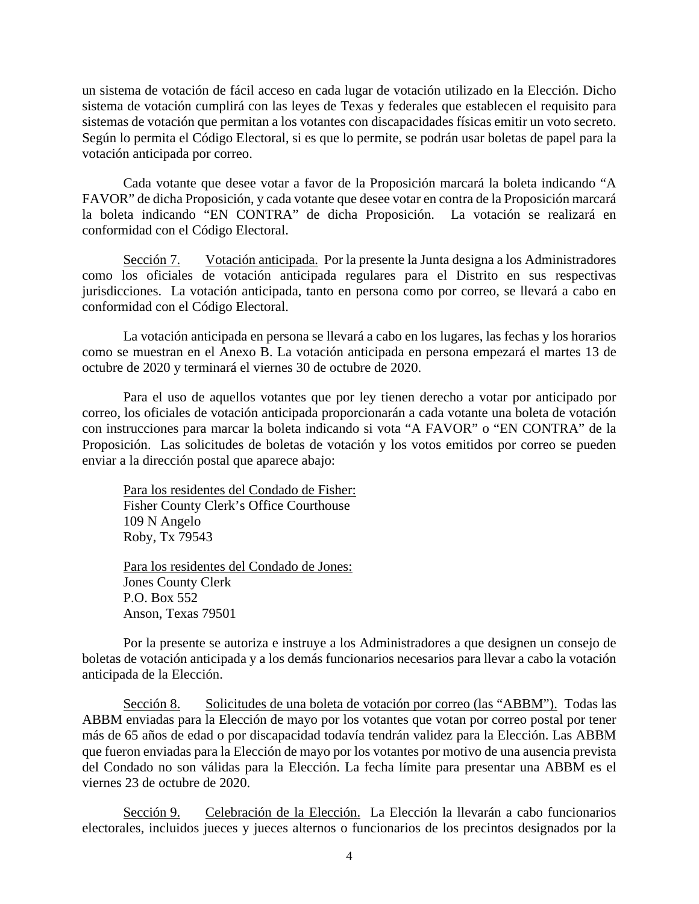un sistema de votación de fácil acceso en cada lugar de votación utilizado en la Elección. Dicho sistema de votación cumplirá con las leyes de Texas y federales que establecen el requisito para sistemas de votación que permitan a los votantes con discapacidades físicas emitir un voto secreto. Según lo permita el Código Electoral, si es que lo permite, se podrán usar boletas de papel para la votación anticipada por correo.

Cada votante que desee votar a favor de la Proposición marcará la boleta indicando "A FAVOR" de dicha Proposición, y cada votante que desee votar en contra de la Proposición marcará la boleta indicando "EN CONTRA" de dicha Proposición. La votación se realizará en conformidad con el Código Electoral.

Sección 7. Votación anticipada. Por la presente la Junta designa a los Administradores como los oficiales de votación anticipada regulares para el Distrito en sus respectivas jurisdicciones. La votación anticipada, tanto en persona como por correo, se llevará a cabo en conformidad con el Código Electoral.

La votación anticipada en persona se llevará a cabo en los lugares, las fechas y los horarios como se muestran en el Anexo B. La votación anticipada en persona empezará el martes 13 de octubre de 2020 y terminará el viernes 30 de octubre de 2020.

Para el uso de aquellos votantes que por ley tienen derecho a votar por anticipado por correo, los oficiales de votación anticipada proporcionarán a cada votante una boleta de votación con instrucciones para marcar la boleta indicando si vota "A FAVOR" o "EN CONTRA" de la Proposición. Las solicitudes de boletas de votación y los votos emitidos por correo se pueden enviar a la dirección postal que aparece abajo:

Para los residentes del Condado de Fisher: Fisher County Clerk's Office Courthouse 109 N Angelo Roby, Tx 79543

Para los residentes del Condado de Jones: Jones County Clerk P.O. Box 552 Anson, Texas 79501

Por la presente se autoriza e instruye a los Administradores a que designen un consejo de boletas de votación anticipada y a los demás funcionarios necesarios para llevar a cabo la votación anticipada de la Elección.

Sección 8. Solicitudes de una boleta de votación por correo (las "ABBM"). Todas las ABBM enviadas para la Elección de mayo por los votantes que votan por correo postal por tener más de 65 años de edad o por discapacidad todavía tendrán validez para la Elección. Las ABBM que fueron enviadas para la Elección de mayo por los votantes por motivo de una ausencia prevista del Condado no son válidas para la Elección. La fecha límite para presentar una ABBM es el viernes 23 de octubre de 2020.

Sección 9. Celebración de la Elección. La Elección la llevarán a cabo funcionarios electorales, incluidos jueces y jueces alternos o funcionarios de los precintos designados por la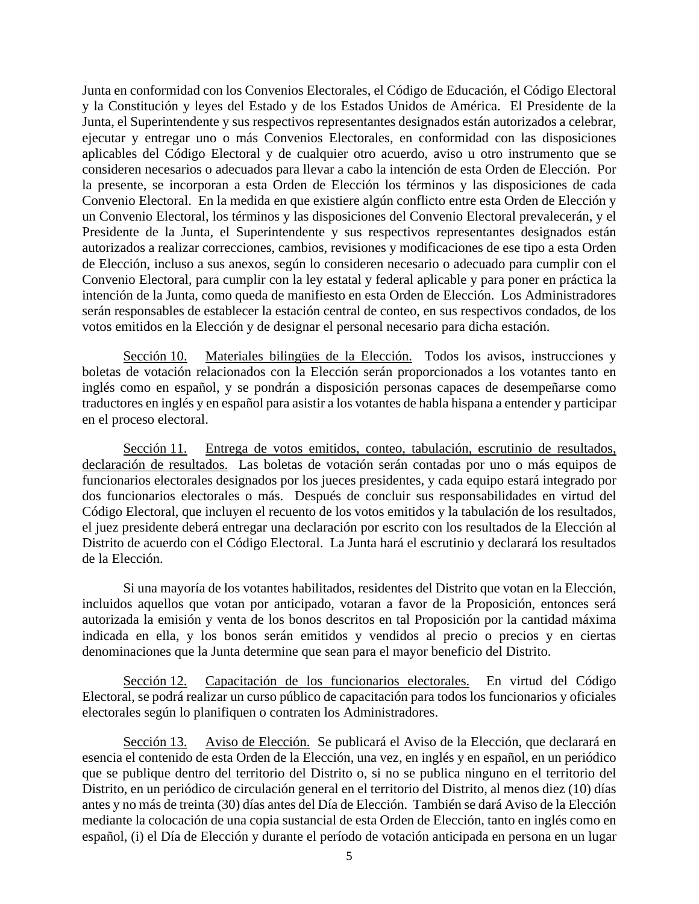Junta en conformidad con los Convenios Electorales, el Código de Educación, el Código Electoral y la Constitución y leyes del Estado y de los Estados Unidos de América. El Presidente de la Junta, el Superintendente y sus respectivos representantes designados están autorizados a celebrar, ejecutar y entregar uno o más Convenios Electorales, en conformidad con las disposiciones aplicables del Código Electoral y de cualquier otro acuerdo, aviso u otro instrumento que se consideren necesarios o adecuados para llevar a cabo la intención de esta Orden de Elección. Por la presente, se incorporan a esta Orden de Elección los términos y las disposiciones de cada Convenio Electoral. En la medida en que existiere algún conflicto entre esta Orden de Elección y un Convenio Electoral, los términos y las disposiciones del Convenio Electoral prevalecerán, y el Presidente de la Junta, el Superintendente y sus respectivos representantes designados están autorizados a realizar correcciones, cambios, revisiones y modificaciones de ese tipo a esta Orden de Elección, incluso a sus anexos, según lo consideren necesario o adecuado para cumplir con el Convenio Electoral, para cumplir con la ley estatal y federal aplicable y para poner en práctica la intención de la Junta, como queda de manifiesto en esta Orden de Elección. Los Administradores serán responsables de establecer la estación central de conteo, en sus respectivos condados, de los votos emitidos en la Elección y de designar el personal necesario para dicha estación.

Sección 10. Materiales bilingües de la Elección. Todos los avisos, instrucciones y boletas de votación relacionados con la Elección serán proporcionados a los votantes tanto en inglés como en español, y se pondrán a disposición personas capaces de desempeñarse como traductores en inglés y en español para asistir a los votantes de habla hispana a entender y participar en el proceso electoral.

Sección 11. Entrega de votos emitidos, conteo, tabulación, escrutinio de resultados, declaración de resultados. Las boletas de votación serán contadas por uno o más equipos de funcionarios electorales designados por los jueces presidentes, y cada equipo estará integrado por dos funcionarios electorales o más. Después de concluir sus responsabilidades en virtud del Código Electoral, que incluyen el recuento de los votos emitidos y la tabulación de los resultados, el juez presidente deberá entregar una declaración por escrito con los resultados de la Elección al Distrito de acuerdo con el Código Electoral. La Junta hará el escrutinio y declarará los resultados de la Elección.

Si una mayoría de los votantes habilitados, residentes del Distrito que votan en la Elección, incluidos aquellos que votan por anticipado, votaran a favor de la Proposición, entonces será autorizada la emisión y venta de los bonos descritos en tal Proposición por la cantidad máxima indicada en ella, y los bonos serán emitidos y vendidos al precio o precios y en ciertas denominaciones que la Junta determine que sean para el mayor beneficio del Distrito.

Sección 12. Capacitación de los funcionarios electorales. En virtud del Código Electoral, se podrá realizar un curso público de capacitación para todos los funcionarios y oficiales electorales según lo planifiquen o contraten los Administradores.

Sección 13. Aviso de Elección. Se publicará el Aviso de la Elección, que declarará en esencia el contenido de esta Orden de la Elección, una vez, en inglés y en español, en un periódico que se publique dentro del territorio del Distrito o, si no se publica ninguno en el territorio del Distrito, en un periódico de circulación general en el territorio del Distrito, al menos diez (10) días antes y no más de treinta (30) días antes del Día de Elección. También se dará Aviso de la Elección mediante la colocación de una copia sustancial de esta Orden de Elección, tanto en inglés como en español, (i) el Día de Elección y durante el período de votación anticipada en persona en un lugar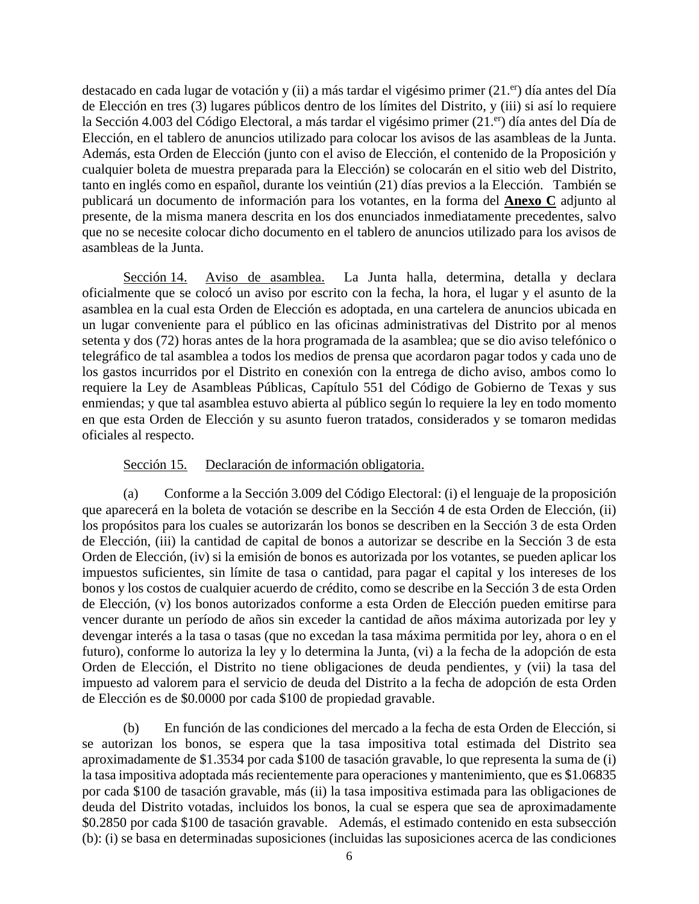destacado en cada lugar de votación y (ii) a más tardar el vigésimo primer (21.<sup>er</sup>) día antes del Día de Elección en tres (3) lugares públicos dentro de los límites del Distrito, y (iii) si así lo requiere la Sección 4.003 del Código Electoral, a más tardar el vigésimo primer (21.<sup>er</sup>) día antes del Día de Elección, en el tablero de anuncios utilizado para colocar los avisos de las asambleas de la Junta. Además, esta Orden de Elección (junto con el aviso de Elección, el contenido de la Proposición y cualquier boleta de muestra preparada para la Elección) se colocarán en el sitio web del Distrito, tanto en inglés como en español, durante los veintiún (21) días previos a la Elección. También se publicará un documento de información para los votantes, en la forma del **Anexo C** adjunto al presente, de la misma manera descrita en los dos enunciados inmediatamente precedentes, salvo que no se necesite colocar dicho documento en el tablero de anuncios utilizado para los avisos de asambleas de la Junta.

Sección 14. Aviso de asamblea. La Junta halla, determina, detalla y declara oficialmente que se colocó un aviso por escrito con la fecha, la hora, el lugar y el asunto de la asamblea en la cual esta Orden de Elección es adoptada, en una cartelera de anuncios ubicada en un lugar conveniente para el público en las oficinas administrativas del Distrito por al menos setenta y dos (72) horas antes de la hora programada de la asamblea; que se dio aviso telefónico o telegráfico de tal asamblea a todos los medios de prensa que acordaron pagar todos y cada uno de los gastos incurridos por el Distrito en conexión con la entrega de dicho aviso, ambos como lo requiere la Ley de Asambleas Públicas, Capítulo 551 del Código de Gobierno de Texas y sus enmiendas; y que tal asamblea estuvo abierta al público según lo requiere la ley en todo momento en que esta Orden de Elección y su asunto fueron tratados, considerados y se tomaron medidas oficiales al respecto.

#### Sección 15. Declaración de información obligatoria.

(a) Conforme a la Sección 3.009 del Código Electoral: (i) el lenguaje de la proposición que aparecerá en la boleta de votación se describe en la Sección 4 de esta Orden de Elección, (ii) los propósitos para los cuales se autorizarán los bonos se describen en la Sección 3 de esta Orden de Elección, (iii) la cantidad de capital de bonos a autorizar se describe en la Sección 3 de esta Orden de Elección, (iv) si la emisión de bonos es autorizada por los votantes, se pueden aplicar los impuestos suficientes, sin límite de tasa o cantidad, para pagar el capital y los intereses de los bonos y los costos de cualquier acuerdo de crédito, como se describe en la Sección 3 de esta Orden de Elección, (v) los bonos autorizados conforme a esta Orden de Elección pueden emitirse para vencer durante un período de años sin exceder la cantidad de años máxima autorizada por ley y devengar interés a la tasa o tasas (que no excedan la tasa máxima permitida por ley, ahora o en el futuro), conforme lo autoriza la ley y lo determina la Junta, (vi) a la fecha de la adopción de esta Orden de Elección, el Distrito no tiene obligaciones de deuda pendientes, y (vii) la tasa del impuesto ad valorem para el servicio de deuda del Distrito a la fecha de adopción de esta Orden de Elección es de \$0.0000 por cada \$100 de propiedad gravable.

(b) En función de las condiciones del mercado a la fecha de esta Orden de Elección, si se autorizan los bonos, se espera que la tasa impositiva total estimada del Distrito sea aproximadamente de \$1.3534 por cada \$100 de tasación gravable, lo que representa la suma de (i) la tasa impositiva adoptada más recientemente para operaciones y mantenimiento, que es \$1.06835 por cada \$100 de tasación gravable, más (ii) la tasa impositiva estimada para las obligaciones de deuda del Distrito votadas, incluidos los bonos, la cual se espera que sea de aproximadamente \$0.2850 por cada \$100 de tasación gravable. Además, el estimado contenido en esta subsección (b): (i) se basa en determinadas suposiciones (incluidas las suposiciones acerca de las condiciones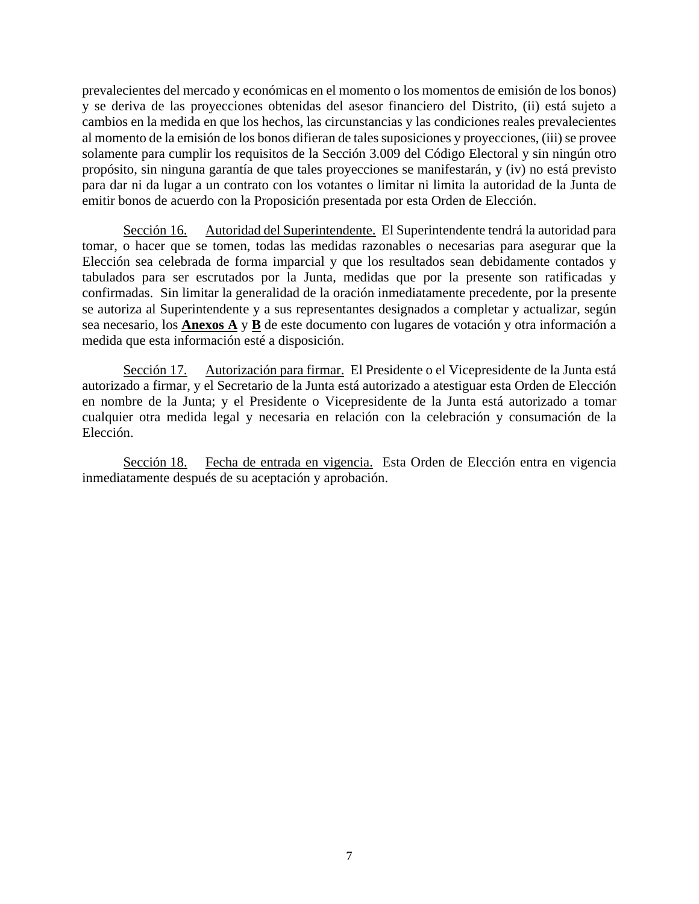prevalecientes del mercado y económicas en el momento o los momentos de emisión de los bonos) y se deriva de las proyecciones obtenidas del asesor financiero del Distrito, (ii) está sujeto a cambios en la medida en que los hechos, las circunstancias y las condiciones reales prevalecientes al momento de la emisión de los bonos difieran de tales suposiciones y proyecciones, (iii) se provee solamente para cumplir los requisitos de la Sección 3.009 del Código Electoral y sin ningún otro propósito, sin ninguna garantía de que tales proyecciones se manifestarán, y (iv) no está previsto para dar ni da lugar a un contrato con los votantes o limitar ni limita la autoridad de la Junta de emitir bonos de acuerdo con la Proposición presentada por esta Orden de Elección.

Sección 16. Autoridad del Superintendente. El Superintendente tendrá la autoridad para tomar, o hacer que se tomen, todas las medidas razonables o necesarias para asegurar que la Elección sea celebrada de forma imparcial y que los resultados sean debidamente contados y tabulados para ser escrutados por la Junta, medidas que por la presente son ratificadas y confirmadas. Sin limitar la generalidad de la oración inmediatamente precedente, por la presente se autoriza al Superintendente y a sus representantes designados a completar y actualizar, según sea necesario, los **Anexos A** y **B** de este documento con lugares de votación y otra información a medida que esta información esté a disposición.

Sección 17. Autorización para firmar. El Presidente o el Vicepresidente de la Junta está autorizado a firmar, y el Secretario de la Junta está autorizado a atestiguar esta Orden de Elección en nombre de la Junta; y el Presidente o Vicepresidente de la Junta está autorizado a tomar cualquier otra medida legal y necesaria en relación con la celebración y consumación de la Elección.

Sección 18. Fecha de entrada en vigencia. Esta Orden de Elección entra en vigencia inmediatamente después de su aceptación y aprobación.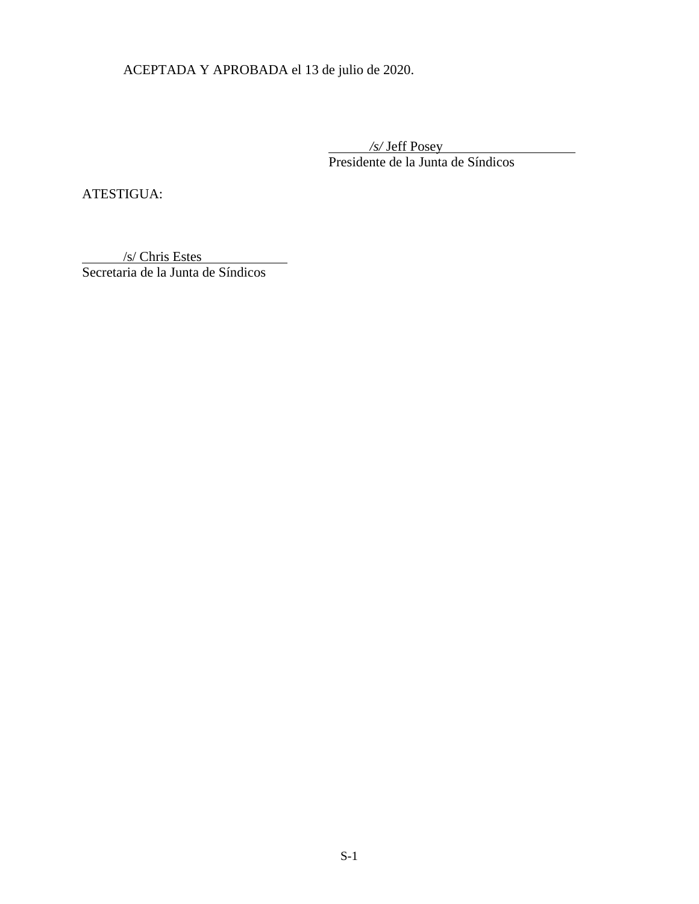ACEPTADA Y APROBADA el 13 de julio de 2020.

 */s/* Jeff Posey Presidente de la Junta de Síndicos

ATESTIGUA:

 /s/ Chris Estes Secretaria de la Junta de Síndicos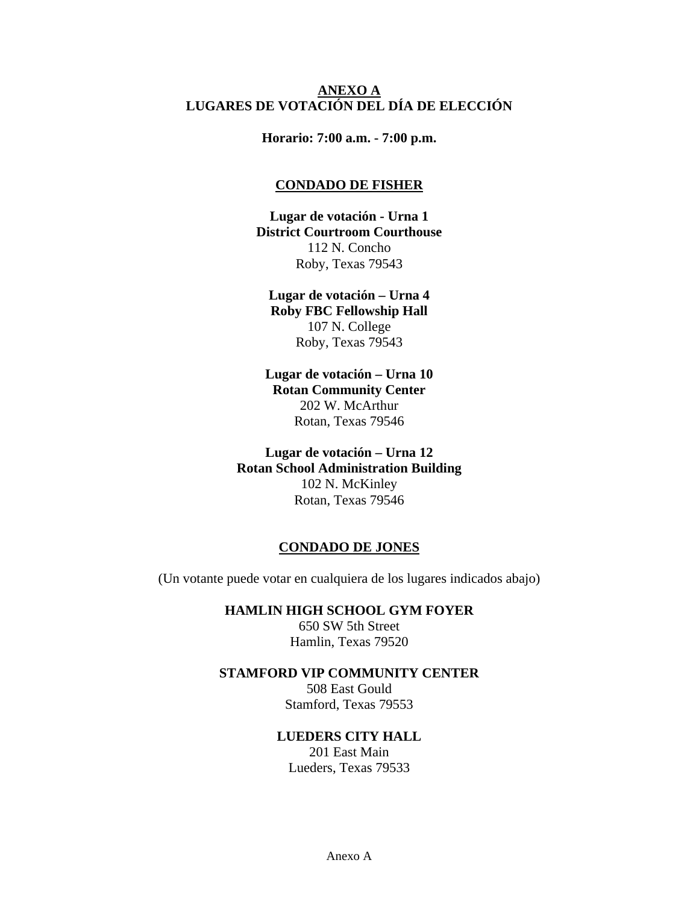### **ANEXO A LUGARES DE VOTACIÓN DEL DÍA DE ELECCIÓN**

**Horario: 7:00 a.m. - 7:00 p.m.** 

#### **CONDADO DE FISHER**

**Lugar de votación - Urna 1 District Courtroom Courthouse**  112 N. Concho Roby, Texas 79543

**Lugar de votación – Urna 4 Roby FBC Fellowship Hall**  107 N. College Roby, Texas 79543

**Lugar de votación – Urna 10 Rotan Community Center**  202 W. McArthur Rotan, Texas 79546

**Lugar de votación – Urna 12 Rotan School Administration Building**  102 N. McKinley Rotan, Texas 79546

#### **CONDADO DE JONES**

(Un votante puede votar en cualquiera de los lugares indicados abajo)

#### **HAMLIN HIGH SCHOOL GYM FOYER**

650 SW 5th Street Hamlin, Texas 79520

#### **STAMFORD VIP COMMUNITY CENTER**

508 East Gould Stamford, Texas 79553

## **LUEDERS CITY HALL**

201 East Main Lueders, Texas 79533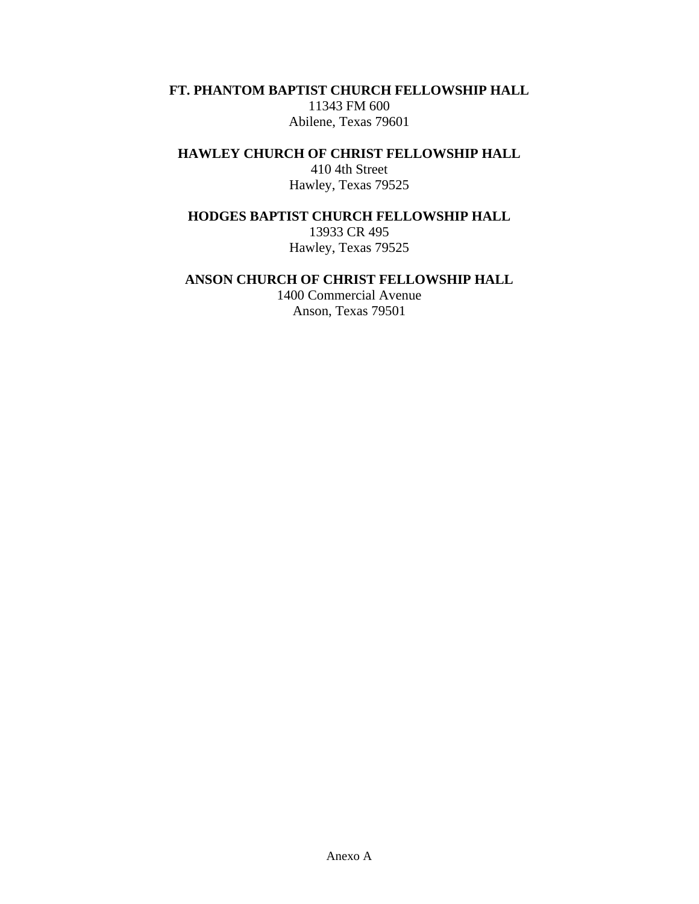**FT. PHANTOM BAPTIST CHURCH FELLOWSHIP HALL** 

11343 FM 600 Abilene, Texas 79601

**HAWLEY CHURCH OF CHRIST FELLOWSHIP HALL** 

410 4th Street Hawley, Texas 79525

**HODGES BAPTIST CHURCH FELLOWSHIP HALL** 

13933 CR 495 Hawley, Texas 79525

## **ANSON CHURCH OF CHRIST FELLOWSHIP HALL**

1400 Commercial Avenue Anson, Texas 79501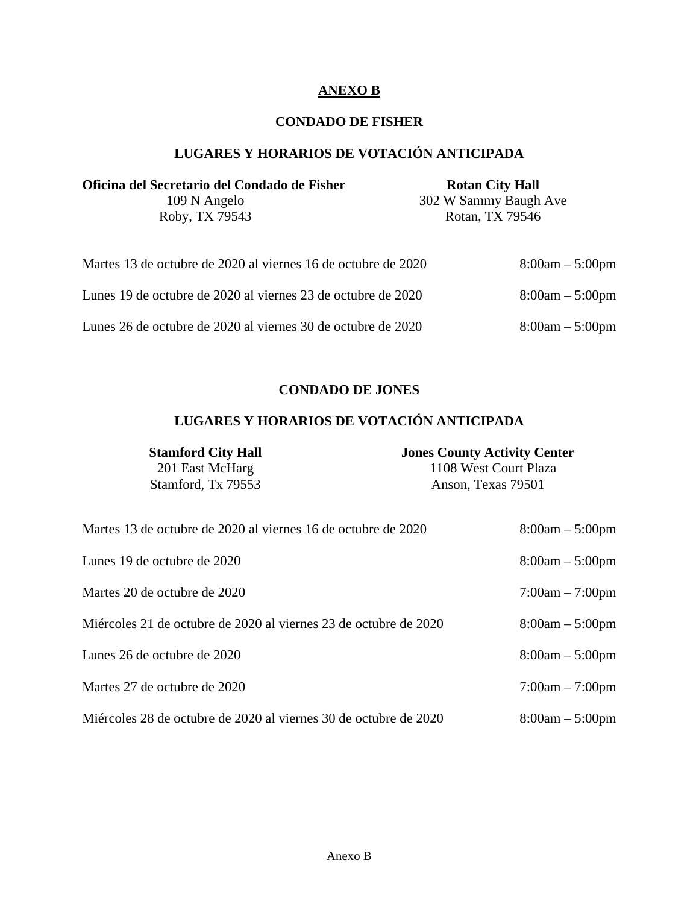## **ANEXO B**

## **CONDADO DE FISHER**

# **LUGARES Y HORARIOS DE VOTACIÓN ANTICIPADA**

| Oficina del Secretario del Condado de Fisher                  | <b>Rotan City Hall</b> |  |
|---------------------------------------------------------------|------------------------|--|
| 109 N Angelo                                                  | 302 W Sammy Baugh Ave  |  |
| Roby, TX 79543                                                | Rotan, TX 79546        |  |
|                                                               |                        |  |
| Martes 13 de octubre de 2020 al viernes 16 de octubre de 2020 | $8:00am - 5:00pm$      |  |
| Lunes 19 de octubre de 2020 al viernes 23 de octubre de 2020  | $8:00am - 5:00pm$      |  |

Lunes 26 de octubre de 2020 al viernes 30 de octubre de 2020 8:00am – 5:00pm

## **CONDADO DE JONES**

# **LUGARES Y HORARIOS DE VOTACIÓN ANTICIPADA**

| <b>Stamford City Hall</b> | <b>Jones County Activity Center</b> |
|---------------------------|-------------------------------------|
| 201 East McHarg           | 1108 West Court Plaza               |
| Stamford, Tx 79553        | Anson, Texas 79501                  |
|                           |                                     |

| Martes 13 de octubre de 2020 al viernes 16 de octubre de 2020    | $8:00am - 5:00pm$ |
|------------------------------------------------------------------|-------------------|
| Lunes 19 de octubre de 2020                                      | $8:00am - 5:00pm$ |
| Martes 20 de octubre de 2020                                     | $7:00am - 7:00pm$ |
| Miércoles 21 de octubre de 2020 al viernes 23 de octubre de 2020 | $8:00am - 5:00pm$ |
| Lunes 26 de octubre de 2020                                      | $8:00am - 5:00pm$ |
| Martes 27 de octubre de 2020                                     | $7:00am - 7:00pm$ |
| Miércoles 28 de octubre de 2020 al viernes 30 de octubre de 2020 | $8:00am - 5:00pm$ |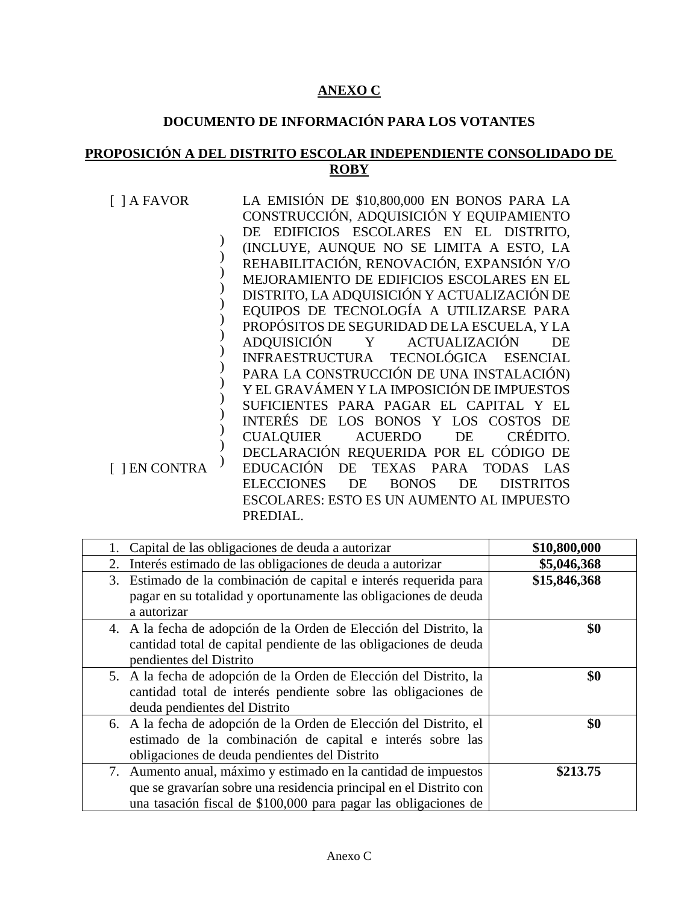# **ANEXO C**

# **DOCUMENTO DE INFORMACIÓN PARA LOS VOTANTES**

# **PROPOSICIÓN A DEL DISTRITO ESCOLAR INDEPENDIENTE CONSOLIDADO DE ROBY**

| 1 A FAVOR         | LA EMISIÓN DE \$10,800,000 EN BONOS PARA LA                       |
|-------------------|-------------------------------------------------------------------|
|                   | CONSTRUCCIÓN, ADQUISICIÓN Y EQUIPAMIENTO                          |
|                   | DE EDIFICIOS ESCOLARES EN EL DISTRITO,                            |
|                   | (INCLUYE, AUNQUE NO SE LIMITA A ESTO, LA                          |
|                   | REHABILITACIÓN, RENOVACIÓN, EXPANSIÓN Y/O                         |
|                   | MEJORAMIENTO DE EDIFICIOS ESCOLARES EN EL                         |
|                   | DISTRITO, LA ADQUISICIÓN Y ACTUALIZACIÓN DE                       |
|                   | EQUIPOS DE TECNOLOGÍA A UTILIZARSE PARA                           |
|                   | PROPÓSITOS DE SEGURIDAD DE LA ESCUELA, Y LA                       |
|                   | <b>ADOUISICIÓN</b><br><b>ACTUALIZACIÓN</b><br>Y<br>DE             |
|                   | INFRAESTRUCTURA TECNOLÓGICA ESENCIAL                              |
|                   | PARA LA CONSTRUCCIÓN DE UNA INSTALACIÓN)                          |
|                   | Y EL GRAVÁMEN Y LA IMPOSICIÓN DE IMPUESTOS                        |
|                   | SUFICIENTES PARA PAGAR EL CAPITAL Y EL                            |
|                   | INTERÉS DE LOS BONOS Y LOS COSTOS DE                              |
|                   | CRÉDITO.<br>CUALQUIER<br><b>ACUERDO</b><br>DE                     |
|                   | DECLARACIÓN REQUERIDA POR EL CÓDIGO DE                            |
| <b>JEN CONTRA</b> | <b>EDUCACIÓN</b><br>TEXAS PARA<br>TODAS LAS<br>DE                 |
|                   | <b>ELECCIONES</b><br>DE<br><b>BONOS</b><br><b>DISTRITOS</b><br>DE |
|                   | <b>ESCOLARES: ESTO ES UN AUMENTO AL IMPUESTO</b>                  |
|                   | PREDIAL.                                                          |

| Capital de las obligaciones de deuda a autorizar                                                                                                                                                         | \$10,800,000 |
|----------------------------------------------------------------------------------------------------------------------------------------------------------------------------------------------------------|--------------|
| Interés estimado de las obligaciones de deuda a autorizar<br>2.                                                                                                                                          | \$5,046,368  |
| 3. Estimado de la combinación de capital e interés requerida para<br>pagar en su totalidad y oportunamente las obligaciones de deuda<br>a autorizar                                                      | \$15,846,368 |
| 4. A la fecha de adopción de la Orden de Elección del Distrito, la<br>cantidad total de capital pendiente de las obligaciones de deuda<br>pendientes del Distrito                                        | \$0          |
| 5. A la fecha de adopción de la Orden de Elección del Distrito, la<br>cantidad total de interés pendiente sobre las obligaciones de<br>deuda pendientes del Distrito                                     | \$0          |
| 6. A la fecha de adopción de la Orden de Elección del Distrito, el<br>estimado de la combinación de capital e interés sobre las<br>obligaciones de deuda pendientes del Distrito                         | \$0          |
| 7. Aumento anual, máximo y estimado en la cantidad de impuestos<br>que se gravarían sobre una residencia principal en el Distrito con<br>una tasación fiscal de \$100,000 para pagar las obligaciones de | \$213.75     |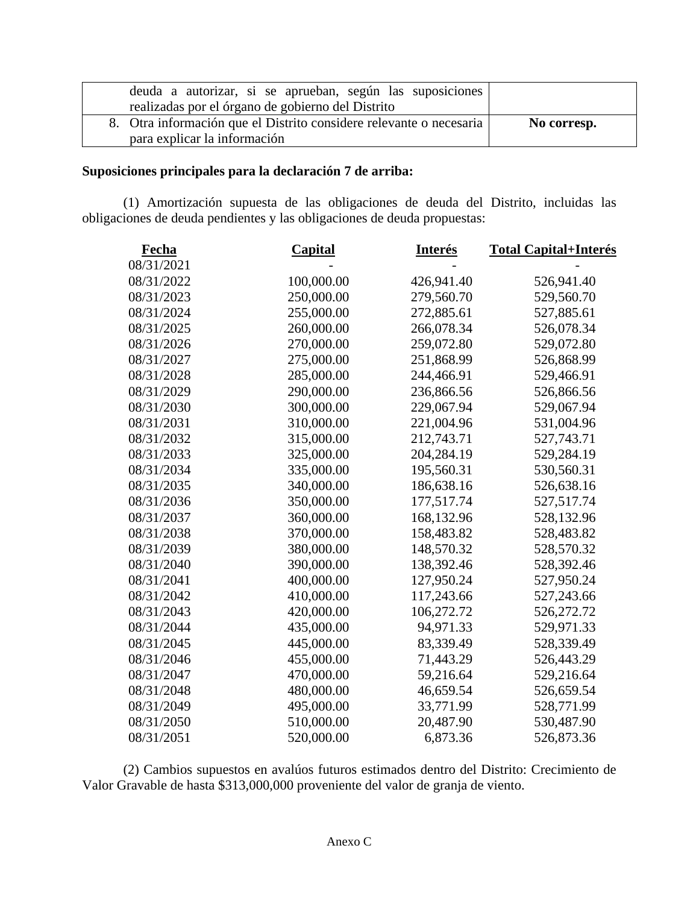| deuda a autorizar, si se aprueban, según las suposiciones<br>realizadas por el órgano de gobierno del Distrito |             |
|----------------------------------------------------------------------------------------------------------------|-------------|
| 8. Otra información que el Distrito considere relevante o necesaria<br>para explicar la información            | No corresp. |

## **Suposiciones principales para la declaración 7 de arriba:**

(1) Amortización supuesta de las obligaciones de deuda del Distrito, incluidas las obligaciones de deuda pendientes y las obligaciones de deuda propuestas:

| Fecha      | <b>Capital</b> | <b>Interés</b> | <b>Total Capital+Interés</b> |
|------------|----------------|----------------|------------------------------|
| 08/31/2021 |                |                |                              |
| 08/31/2022 | 100,000.00     | 426,941.40     | 526,941.40                   |
| 08/31/2023 | 250,000.00     | 279,560.70     | 529,560.70                   |
| 08/31/2024 | 255,000.00     | 272,885.61     | 527,885.61                   |
| 08/31/2025 | 260,000.00     | 266,078.34     | 526,078.34                   |
| 08/31/2026 | 270,000.00     | 259,072.80     | 529,072.80                   |
| 08/31/2027 | 275,000.00     | 251,868.99     | 526,868.99                   |
| 08/31/2028 | 285,000.00     | 244,466.91     | 529,466.91                   |
| 08/31/2029 | 290,000.00     | 236,866.56     | 526,866.56                   |
| 08/31/2030 | 300,000.00     | 229,067.94     | 529,067.94                   |
| 08/31/2031 | 310,000.00     | 221,004.96     | 531,004.96                   |
| 08/31/2032 | 315,000.00     | 212,743.71     | 527,743.71                   |
| 08/31/2033 | 325,000.00     | 204,284.19     | 529,284.19                   |
| 08/31/2034 | 335,000.00     | 195,560.31     | 530,560.31                   |
| 08/31/2035 | 340,000.00     | 186,638.16     | 526,638.16                   |
| 08/31/2036 | 350,000.00     | 177,517.74     | 527,517.74                   |
| 08/31/2037 | 360,000.00     | 168,132.96     | 528,132.96                   |
| 08/31/2038 | 370,000.00     | 158,483.82     | 528,483.82                   |
| 08/31/2039 | 380,000.00     | 148,570.32     | 528,570.32                   |
| 08/31/2040 | 390,000.00     | 138,392.46     | 528,392.46                   |
| 08/31/2041 | 400,000.00     | 127,950.24     | 527,950.24                   |
| 08/31/2042 | 410,000.00     | 117,243.66     | 527,243.66                   |
| 08/31/2043 | 420,000.00     | 106,272.72     | 526,272.72                   |
| 08/31/2044 | 435,000.00     | 94,971.33      | 529,971.33                   |
| 08/31/2045 | 445,000.00     | 83,339.49      | 528,339.49                   |
| 08/31/2046 | 455,000.00     | 71,443.29      | 526,443.29                   |
| 08/31/2047 | 470,000.00     | 59,216.64      | 529,216.64                   |
| 08/31/2048 | 480,000.00     | 46,659.54      | 526,659.54                   |
| 08/31/2049 | 495,000.00     | 33,771.99      | 528,771.99                   |
| 08/31/2050 | 510,000.00     | 20,487.90      | 530,487.90                   |
| 08/31/2051 | 520,000.00     | 6,873.36       | 526,873.36                   |

(2) Cambios supuestos en avalúos futuros estimados dentro del Distrito: Crecimiento de Valor Gravable de hasta \$313,000,000 proveniente del valor de granja de viento.